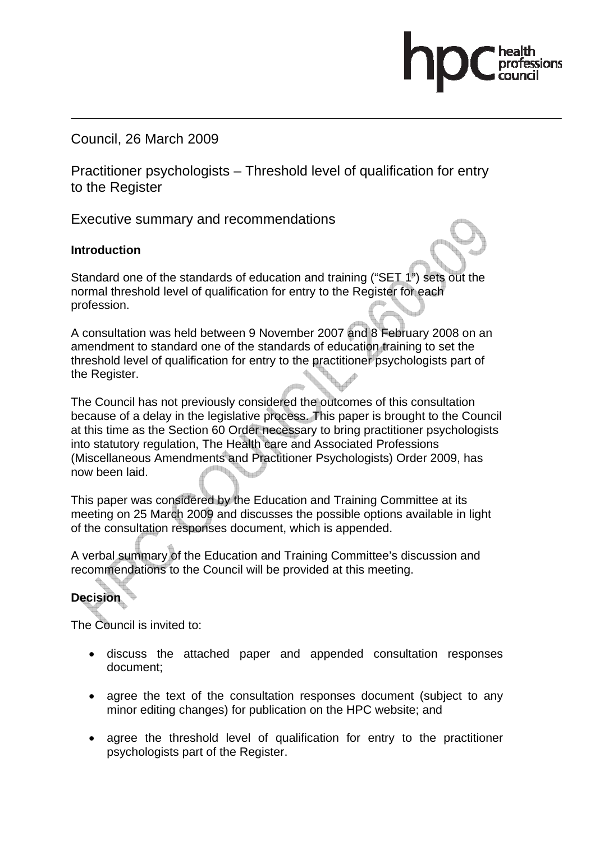Council, 26 March 2009

Practitioner psychologists – Threshold level of qualification for entry to the Register

Executive summary and recommendations

#### **Introduction**

Standard one of the standards of education and training ("SET 1") sets out the normal threshold level of qualification for entry to the Register for each profession.

A consultation was held between 9 November 2007 and 8 February 2008 on an amendment to standard one of the standards of education training to set the threshold level of qualification for entry to the practitioner psychologists part of the Register.

The Council has not previously considered the outcomes of this consultation because of a delay in the legislative process. This paper is brought to the Council at this time as the Section 60 Order necessary to bring practitioner psychologists into statutory regulation, The Health care and Associated Professions (Miscellaneous Amendments and Practitioner Psychologists) Order 2009, has now been laid.

This paper was considered by the Education and Training Committee at its meeting on 25 March 2009 and discusses the possible options available in light of the consultation responses document, which is appended.

A verbal summary of the Education and Training Committee's discussion and recommendations to the Council will be provided at this meeting.

# **Decision**

The Council is invited to:

- discuss the attached paper and appended consultation responses document;
- agree the text of the consultation responses document (subject to any minor editing changes) for publication on the HPC website; and
- agree the threshold level of qualification for entry to the practitioner psychologists part of the Register.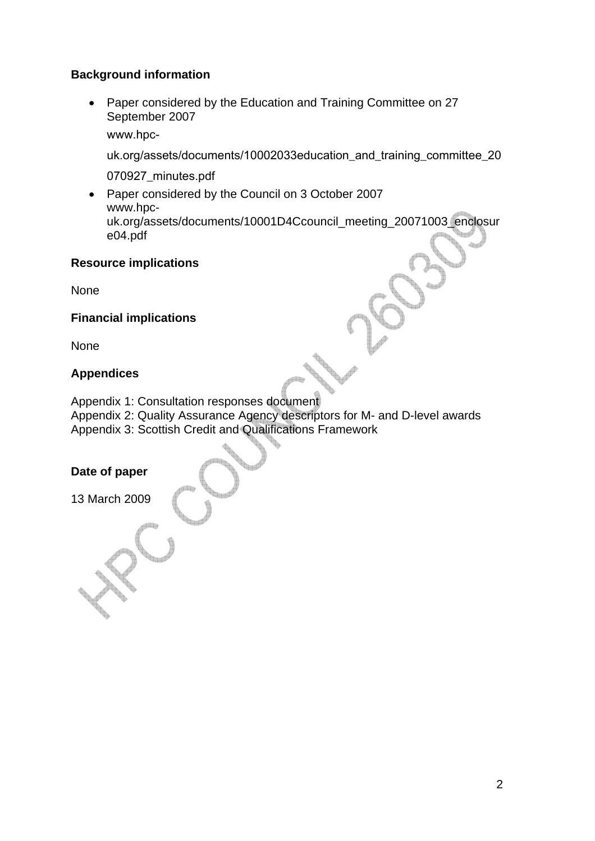# **Background information**

• Paper considered by the Education and Training Committee on 27 September 2007

www.hpc-

uk.org/assets/documents/10002033education\_and\_training\_committee\_20

070927\_minutes.pdf

• Paper considered by the Council on 3 October 2007 www.hpcuk.org/assets/documents/10001D4Ccouncil\_meeting\_20071003\_enclosur e04.pdf

# **Resource implications**

None

# **Financial implications**

None

# **Appendices**

Appendix 1: Consultation responses document

Appendix 2: Quality Assurance Agency descriptors for M- and D-level awards Appendix 3: Scottish Credit and Qualifications Framework

# **Date of paper**

13 March 2009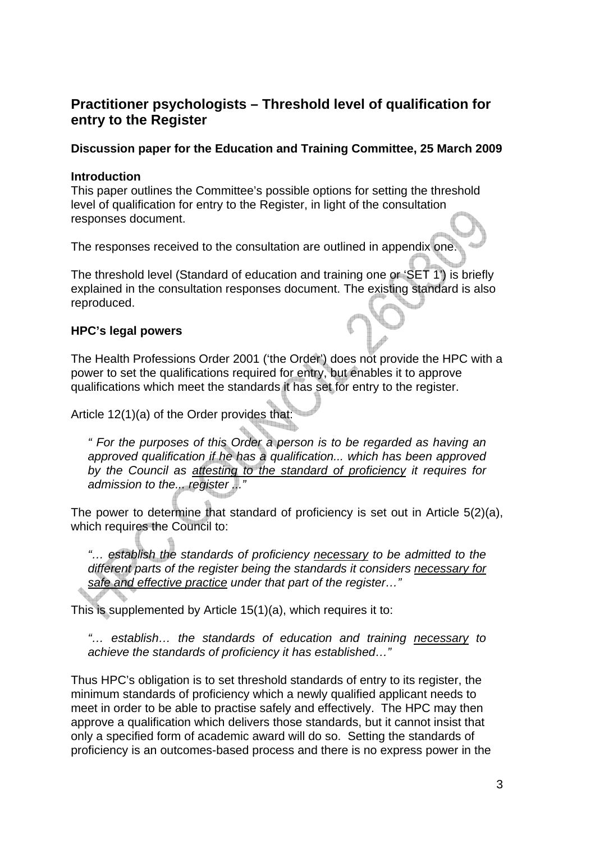# **Practitioner psychologists – Threshold level of qualification for entry to the Register**

### **Discussion paper for the Education and Training Committee, 25 March 2009**

#### **Introduction**

This paper outlines the Committee's possible options for setting the threshold level of qualification for entry to the Register, in light of the consultation responses document.

The responses received to the consultation are outlined in appendix one.

The threshold level (Standard of education and training one or 'SET 1') is briefly explained in the consultation responses document. The existing standard is also reproduced.

#### **HPC's legal powers**

The Health Professions Order 2001 ('the Order') does not provide the HPC with a power to set the qualifications required for entry, but enables it to approve qualifications which meet the standards it has set for entry to the register.

Article 12(1)(a) of the Order provides that:

*" For the purposes of this Order a person is to be regarded as having an approved qualification if he has a qualification... which has been approved by the Council as attesting to the standard of proficiency it requires for admission to the... register ..."* 

The power to determine that standard of proficiency is set out in Article 5(2)(a), which requires the Council to:

*"… establish the standards of proficiency necessary to be admitted to the different parts of the register being the standards it considers necessary for safe and effective practice under that part of the register…"* 

This is supplemented by Article 15(1)(a), which requires it to:

*"… establish… the standards of education and training necessary to achieve the standards of proficiency it has established…"* 

Thus HPC's obligation is to set threshold standards of entry to its register, the minimum standards of proficiency which a newly qualified applicant needs to meet in order to be able to practise safely and effectively. The HPC may then approve a qualification which delivers those standards, but it cannot insist that only a specified form of academic award will do so. Setting the standards of proficiency is an outcomes-based process and there is no express power in the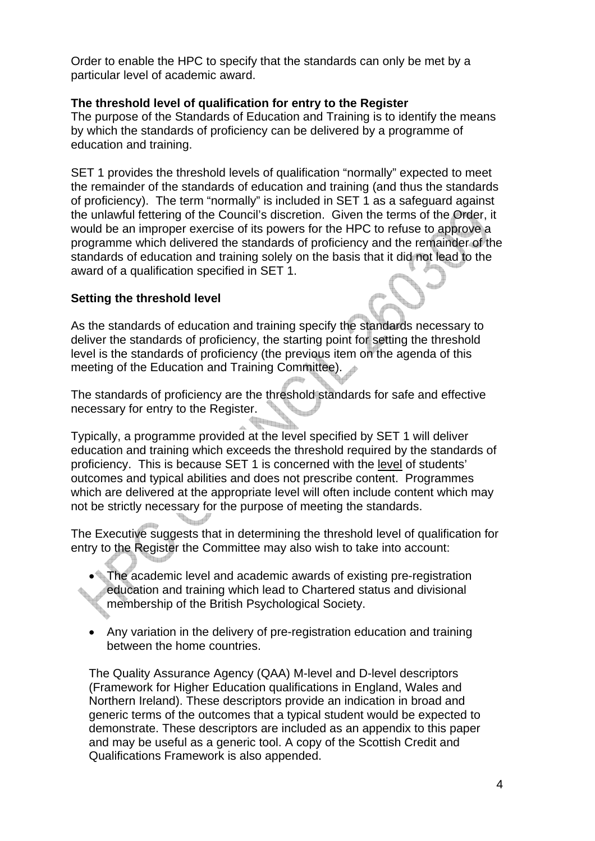Order to enable the HPC to specify that the standards can only be met by a particular level of academic award.

#### **The threshold level of qualification for entry to the Register**

The purpose of the Standards of Education and Training is to identify the means by which the standards of proficiency can be delivered by a programme of education and training.

SET 1 provides the threshold levels of qualification "normally" expected to meet the remainder of the standards of education and training (and thus the standards of proficiency). The term "normally" is included in SET 1 as a safeguard against the unlawful fettering of the Council's discretion. Given the terms of the Order, it would be an improper exercise of its powers for the HPC to refuse to approve a programme which delivered the standards of proficiency and the remainder of the standards of education and training solely on the basis that it did not lead to the award of a qualification specified in SET 1.

#### **Setting the threshold level**

As the standards of education and training specify the standards necessary to deliver the standards of proficiency, the starting point for setting the threshold level is the standards of proficiency (the previous item on the agenda of this meeting of the Education and Training Committee).

The standards of proficiency are the threshold standards for safe and effective necessary for entry to the Register.

Typically, a programme provided at the level specified by SET 1 will deliver education and training which exceeds the threshold required by the standards of proficiency. This is because SET 1 is concerned with the level of students' outcomes and typical abilities and does not prescribe content. Programmes which are delivered at the appropriate level will often include content which may not be strictly necessary for the purpose of meeting the standards.

The Executive suggests that in determining the threshold level of qualification for entry to the Register the Committee may also wish to take into account:

- The academic level and academic awards of existing pre-registration education and training which lead to Chartered status and divisional membership of the British Psychological Society.
- Any variation in the delivery of pre-registration education and training between the home countries.

The Quality Assurance Agency (QAA) M-level and D-level descriptors (Framework for Higher Education qualifications in England, Wales and Northern Ireland). These descriptors provide an indication in broad and generic terms of the outcomes that a typical student would be expected to demonstrate. These descriptors are included as an appendix to this paper and may be useful as a generic tool. A copy of the Scottish Credit and Qualifications Framework is also appended.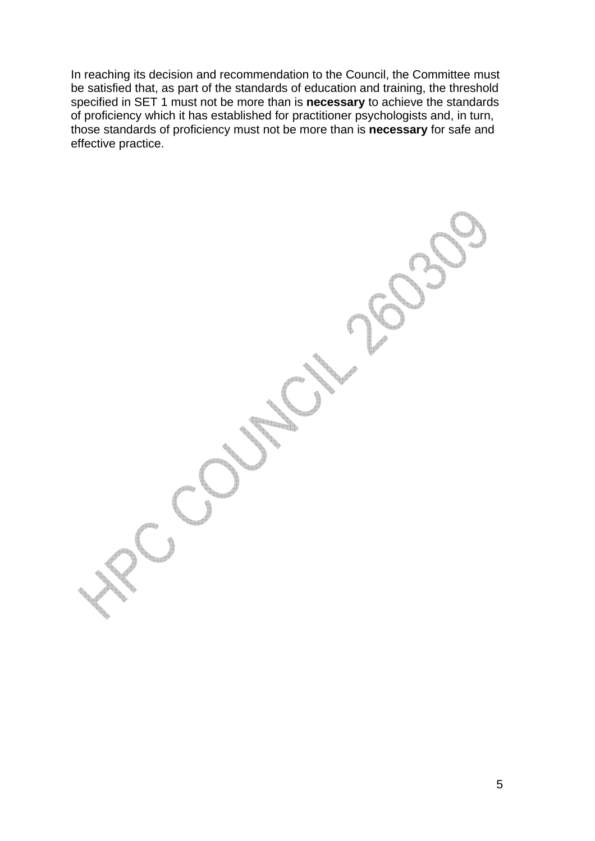In reaching its decision and recommendation to the Council, the Committee must be satisfied that, as part of the standards of education and training, the threshold specified in SET 1 must not be more than is **necessary** to achieve the standards of proficiency which it has established for practitioner psychologists and, in turn, those standards of proficiency must not be more than is **necessary** for safe and effective practice.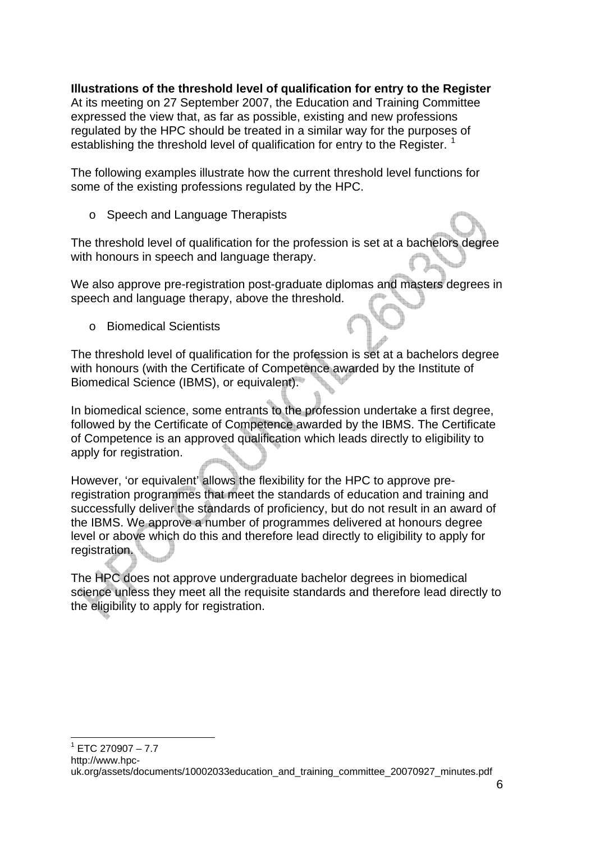**Illustrations of the threshold level of qualification for entry to the Register**  At its meeting on 27 September 2007, the Education and Training Committee expressed the view that, as far as possible, existing and new professions regulated by the HPC should be treated in a similar way for the purposes of establishing the threshold level of qualification for entry to the Register.

The following examples illustrate how the current threshold level functions for some of the existing professions regulated by the HPC.

o Speech and Language Therapists

The threshold level of qualification for the profession is set at a bachelors degree with honours in speech and language therapy.

We also approve pre-registration post-graduate diplomas and masters degrees in speech and language therapy, above the threshold.

o Biomedical Scientists

l

The threshold level of qualification for the profession is set at a bachelors degree with honours (with the Certificate of Competence awarded by the Institute of Biomedical Science (IBMS), or equivalent).

In biomedical science, some entrants to the profession undertake a first degree, followed by the Certificate of Competence awarded by the IBMS. The Certificate of Competence is an approved qualification which leads directly to eligibility to apply for registration.

However, 'or equivalent' allows the flexibility for the HPC to approve preregistration programmes that meet the standards of education and training and successfully deliver the standards of proficiency, but do not result in an award of the IBMS. We approve a number of programmes delivered at honours degree level or above which do this and therefore lead directly to eligibility to apply for registration.

The HPC does not approve undergraduate bachelor degrees in biomedical science unless they meet all the requisite standards and therefore lead directly to the eligibility to apply for registration.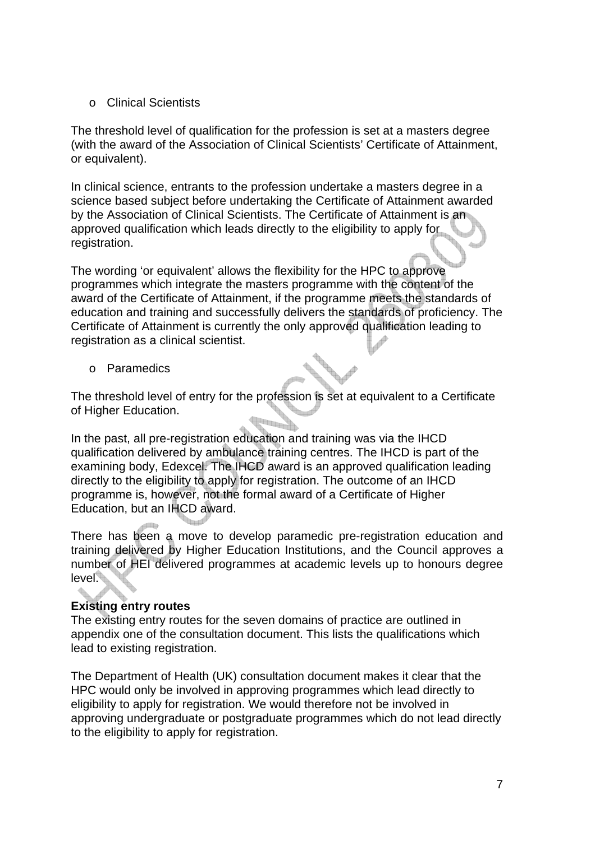o Clinical Scientists

The threshold level of qualification for the profession is set at a masters degree (with the award of the Association of Clinical Scientists' Certificate of Attainment, or equivalent).

In clinical science, entrants to the profession undertake a masters degree in a science based subject before undertaking the Certificate of Attainment awarded by the Association of Clinical Scientists. The Certificate of Attainment is an approved qualification which leads directly to the eligibility to apply for registration.

The wording 'or equivalent' allows the flexibility for the HPC to approve programmes which integrate the masters programme with the content of the award of the Certificate of Attainment, if the programme meets the standards of education and training and successfully delivers the standards of proficiency. The Certificate of Attainment is currently the only approved qualification leading to registration as a clinical scientist.

o Paramedics

The threshold level of entry for the profession is set at equivalent to a Certificate of Higher Education.

In the past, all pre-registration education and training was via the IHCD qualification delivered by ambulance training centres. The IHCD is part of the examining body, Edexcel. The IHCD award is an approved qualification leading directly to the eligibility to apply for registration. The outcome of an IHCD programme is, however, not the formal award of a Certificate of Higher Education, but an IHCD award.

There has been a move to develop paramedic pre-registration education and training delivered by Higher Education Institutions, and the Council approves a number of HEI delivered programmes at academic levels up to honours degree level.

# **Existing entry routes**

The existing entry routes for the seven domains of practice are outlined in appendix one of the consultation document. This lists the qualifications which lead to existing registration.

The Department of Health (UK) consultation document makes it clear that the HPC would only be involved in approving programmes which lead directly to eligibility to apply for registration. We would therefore not be involved in approving undergraduate or postgraduate programmes which do not lead directly to the eligibility to apply for registration.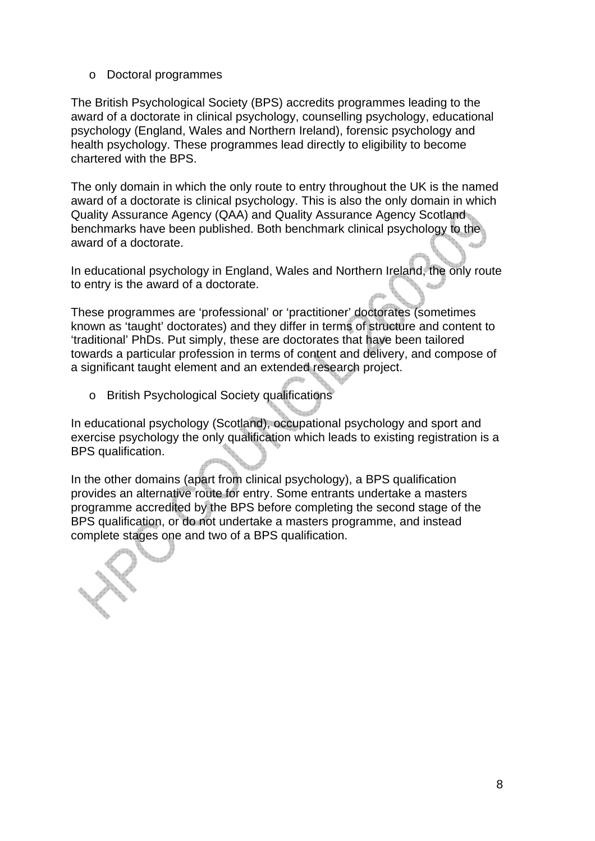#### o Doctoral programmes

The British Psychological Society (BPS) accredits programmes leading to the award of a doctorate in clinical psychology, counselling psychology, educational psychology (England, Wales and Northern Ireland), forensic psychology and health psychology. These programmes lead directly to eligibility to become chartered with the BPS.

The only domain in which the only route to entry throughout the UK is the named award of a doctorate is clinical psychology. This is also the only domain in which Quality Assurance Agency (QAA) and Quality Assurance Agency Scotland benchmarks have been published. Both benchmark clinical psychology to the award of a doctorate.

In educational psychology in England, Wales and Northern Ireland, the only route to entry is the award of a doctorate.

These programmes are 'professional' or 'practitioner' doctorates (sometimes known as 'taught' doctorates) and they differ in terms of structure and content to 'traditional' PhDs. Put simply, these are doctorates that have been tailored towards a particular profession in terms of content and delivery, and compose of a significant taught element and an extended research project.

o British Psychological Society qualifications

In educational psychology (Scotland), occupational psychology and sport and exercise psychology the only qualification which leads to existing registration is a BPS qualification.

In the other domains (apart from clinical psychology), a BPS qualification provides an alternative route for entry. Some entrants undertake a masters programme accredited by the BPS before completing the second stage of the BPS qualification, or do not undertake a masters programme, and instead complete stages one and two of a BPS qualification.

8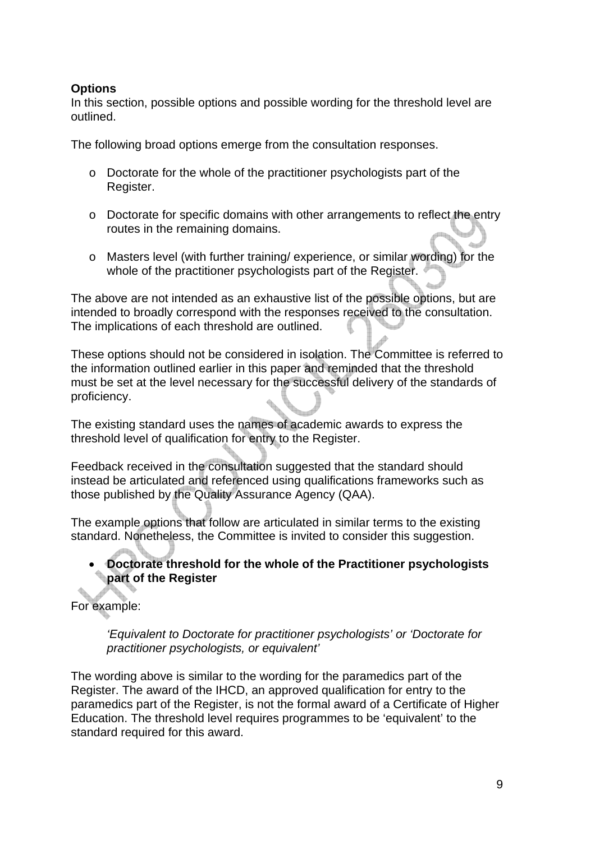# **Options**

In this section, possible options and possible wording for the threshold level are outlined.

The following broad options emerge from the consultation responses.

- o Doctorate for the whole of the practitioner psychologists part of the Register.
- o Doctorate for specific domains with other arrangements to reflect the entry routes in the remaining domains.
- o Masters level (with further training/ experience, or similar wording) for the whole of the practitioner psychologists part of the Register.

The above are not intended as an exhaustive list of the possible options, but are intended to broadly correspond with the responses received to the consultation. The implications of each threshold are outlined.

These options should not be considered in isolation. The Committee is referred to the information outlined earlier in this paper and reminded that the threshold must be set at the level necessary for the successful delivery of the standards of proficiency.

The existing standard uses the names of academic awards to express the threshold level of qualification for entry to the Register.

Feedback received in the consultation suggested that the standard should instead be articulated and referenced using qualifications frameworks such as those published by the Quality Assurance Agency (QAA).

The example options that follow are articulated in similar terms to the existing standard. Nonetheless, the Committee is invited to consider this suggestion.

# • **Doctorate threshold for the whole of the Practitioner psychologists part of the Register**

For example:

*'Equivalent to Doctorate for practitioner psychologists' or 'Doctorate for practitioner psychologists, or equivalent'* 

The wording above is similar to the wording for the paramedics part of the Register. The award of the IHCD, an approved qualification for entry to the paramedics part of the Register, is not the formal award of a Certificate of Higher Education. The threshold level requires programmes to be 'equivalent' to the standard required for this award.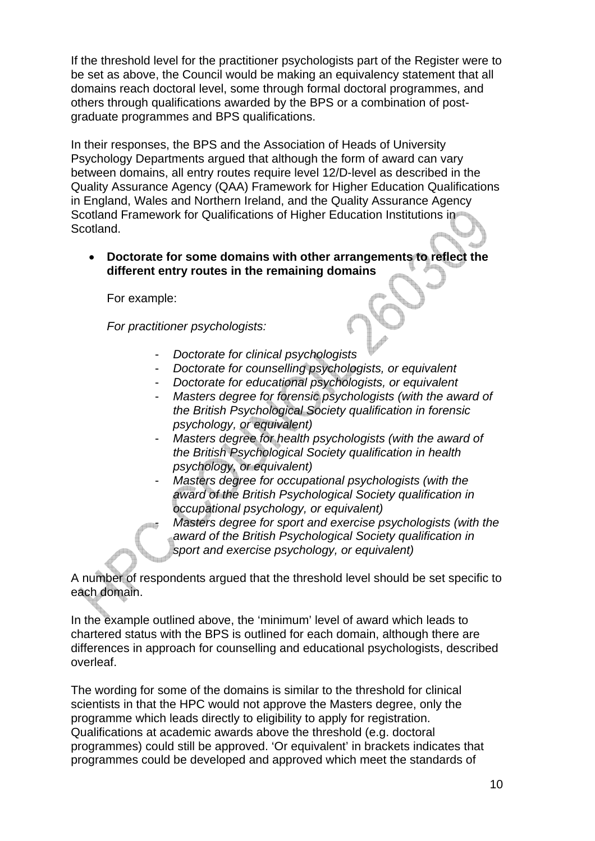If the threshold level for the practitioner psychologists part of the Register were to be set as above, the Council would be making an equivalency statement that all domains reach doctoral level, some through formal doctoral programmes, and others through qualifications awarded by the BPS or a combination of postgraduate programmes and BPS qualifications.

In their responses, the BPS and the Association of Heads of University Psychology Departments argued that although the form of award can vary between domains, all entry routes require level 12/D-level as described in the Quality Assurance Agency (QAA) Framework for Higher Education Qualifications in England, Wales and Northern Ireland, and the Quality Assurance Agency Scotland Framework for Qualifications of Higher Education Institutions in Scotland.

• **Doctorate for some domains with other arrangements to reflect the different entry routes in the remaining domains** 

For example:

*For practitioner psychologists:* 

- *Doctorate for clinical psychologists*
- *Doctorate for counselling psychologists, or equivalent*
- *Doctorate for educational psychologists, or equivalent*
- *Masters degree for forensic psychologists (with the award of the British Psychological Society qualification in forensic psychology, or equivalent)*
- *Masters degree for health psychologists (with the award of the British Psychological Society qualification in health psychology, or equivalent)*
- *Masters degree for occupational psychologists (with the award of the British Psychological Society qualification in occupational psychology, or equivalent)*
- *Masters degree for sport and exercise psychologists (with the award of the British Psychological Society qualification in sport and exercise psychology, or equivalent)*

A number of respondents argued that the threshold level should be set specific to each domain.

In the example outlined above, the 'minimum' level of award which leads to chartered status with the BPS is outlined for each domain, although there are differences in approach for counselling and educational psychologists, described overleaf.

The wording for some of the domains is similar to the threshold for clinical scientists in that the HPC would not approve the Masters degree, only the programme which leads directly to eligibility to apply for registration. Qualifications at academic awards above the threshold (e.g. doctoral programmes) could still be approved. 'Or equivalent' in brackets indicates that programmes could be developed and approved which meet the standards of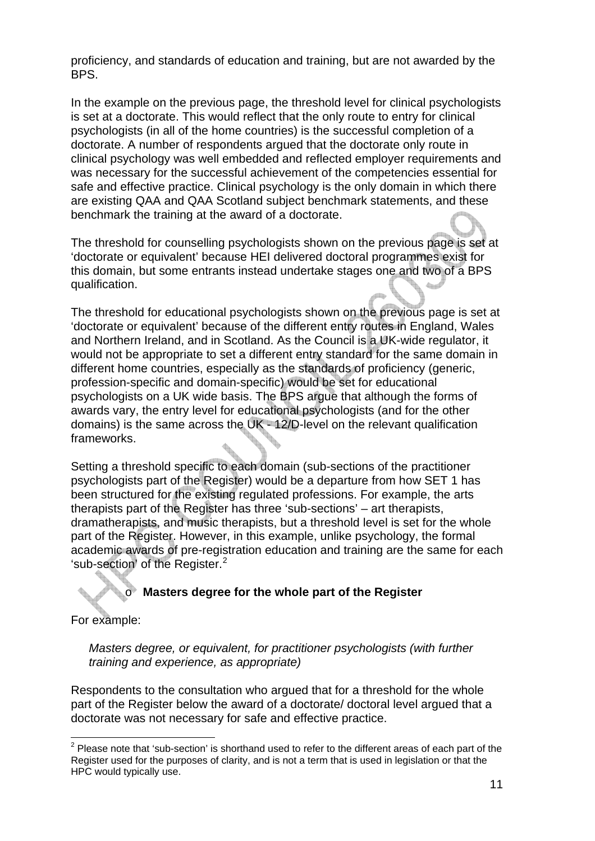proficiency, and standards of education and training, but are not awarded by the BPS.

In the example on the previous page, the threshold level for clinical psychologists is set at a doctorate. This would reflect that the only route to entry for clinical psychologists (in all of the home countries) is the successful completion of a doctorate. A number of respondents argued that the doctorate only route in clinical psychology was well embedded and reflected employer requirements and was necessary for the successful achievement of the competencies essential for safe and effective practice. Clinical psychology is the only domain in which there are existing QAA and QAA Scotland subject benchmark statements, and these benchmark the training at the award of a doctorate.

The threshold for counselling psychologists shown on the previous page is set at 'doctorate or equivalent' because HEI delivered doctoral programmes exist for this domain, but some entrants instead undertake stages one and two of a BPS qualification.

The threshold for educational psychologists shown on the previous page is set at 'doctorate or equivalent' because of the different entry routes in England, Wales and Northern Ireland, and in Scotland. As the Council is a UK-wide regulator, it would not be appropriate to set a different entry standard for the same domain in different home countries, especially as the standards of proficiency (generic, profession-specific and domain-specific) would be set for educational psychologists on a UK wide basis. The BPS argue that although the forms of awards vary, the entry level for educational psychologists (and for the other domains) is the same across the UK - 12/D-level on the relevant qualification frameworks.

Setting a threshold specific to each domain (sub-sections of the practitioner psychologists part of the Register) would be a departure from how SET 1 has been structured for the existing regulated professions. For example, the arts therapists part of the Register has three 'sub-sections' – art therapists, dramatherapists, and music therapists, but a threshold level is set for the whole part of the Register. However, in this example, unlike psychology, the formal academic awards of pre-registration education and training are the same for each 'sub-section' of the Register.<sup>2</sup>

# **Nasters degree for the whole part of the Register**

For example:

*Masters degree, or equivalent, for practitioner psychologists (with further training and experience, as appropriate)* 

Respondents to the consultation who argued that for a threshold for the whole part of the Register below the award of a doctorate/ doctoral level argued that a doctorate was not necessary for safe and effective practice.

 2 Please note that 'sub-section' is shorthand used to refer to the different areas of each part of the Register used for the purposes of clarity, and is not a term that is used in legislation or that the HPC would typically use.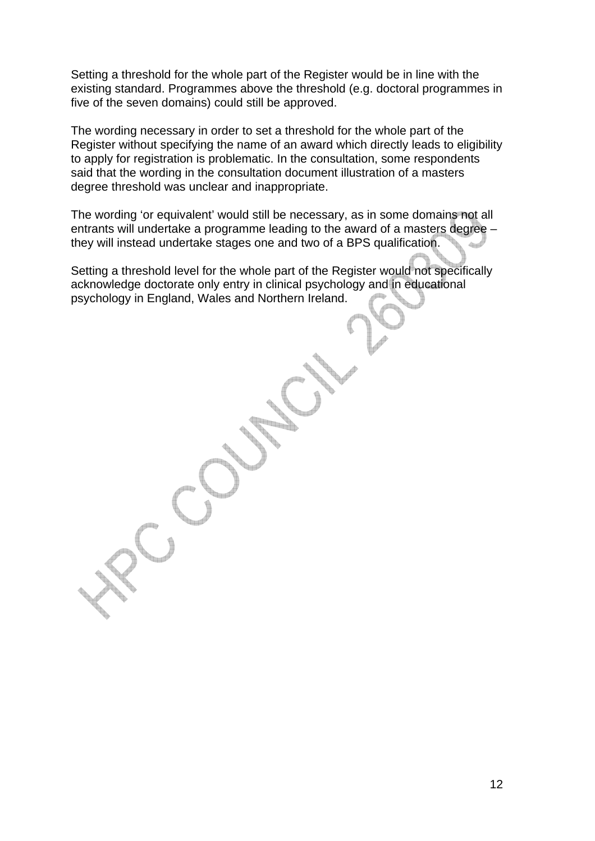Setting a threshold for the whole part of the Register would be in line with the existing standard. Programmes above the threshold (e.g. doctoral programmes in five of the seven domains) could still be approved.

The wording necessary in order to set a threshold for the whole part of the Register without specifying the name of an award which directly leads to eligibility to apply for registration is problematic. In the consultation, some respondents said that the wording in the consultation document illustration of a masters degree threshold was unclear and inappropriate.

The wording 'or equivalent' would still be necessary, as in some domains not all entrants will undertake a programme leading to the award of a masters degree – they will instead undertake stages one and two of a BPS qualification.  $\Delta \omega$ 

Setting a threshold level for the whole part of the Register would not specifically acknowledge doctorate only entry in clinical psychology and in educational psychology in England, Wales and Northern Ireland.

12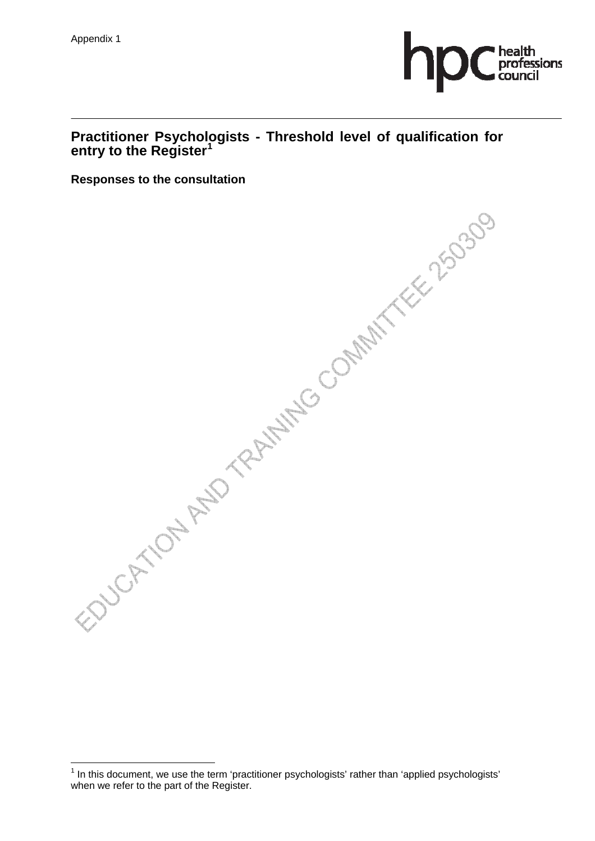l



# **Practitioner Psychologists - Threshold level of qualification for entry to the Register<sup>1</sup>**

Responses to the consultation **Responses to the consultation** 

 $1$  In this document, we use the term 'practitioner psychologists' rather than 'applied psychologists' when we refer to the part of the Register.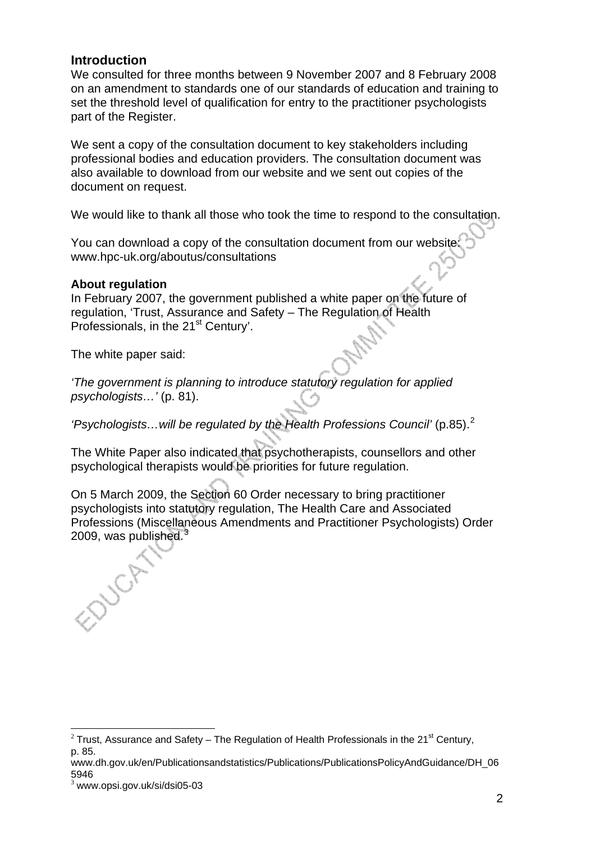#### **Introduction**

We consulted for three months between 9 November 2007 and 8 February 2008 on an amendment to standards one of our standards of education and training to set the threshold level of qualification for entry to the practitioner psychologists part of the Register.

We sent a copy of the consultation document to key stakeholders including professional bodies and education providers. The consultation document was also available to download from our website and we sent out copies of the document on request.

We would like to thank all those who took the time to respond to the consultation.

You can download a copy of the consultation document from our website: www.hpc-uk.org/aboutus/consultations

#### **About regulation**

In February 2007, the government published a white paper on the future of regulation, 'Trust, Assurance and Safety – The Regulation of Health Professionals, in the 21<sup>st</sup> Century'.

The white paper said:

EDUCATION

*'The government is planning to introduce statutory regulation for applied psychologists…'* (p. 81).

*'Psychologists…will be regulated by the Health Professions Council'* (p.85).<sup>2</sup>

The White Paper also indicated that psychotherapists, counsellors and other psychological therapists would be priorities for future regulation.

On 5 March 2009, the Section 60 Order necessary to bring practitioner psychologists into statutory regulation, The Health Care and Associated Professions (Miscellaneous Amendments and Practitioner Psychologists) Order 2009, was published. $3$ 

l  $2$  Trust, Assurance and Safety – The Regulation of Health Professionals in the 21<sup>st</sup> Century, p. 85.

www.dh.gov.uk/en/Publicationsandstatistics/Publications/PublicationsPolicyAndGuidance/DH\_06 5946

 $3$  www.opsi.gov.uk/si/dsi05-03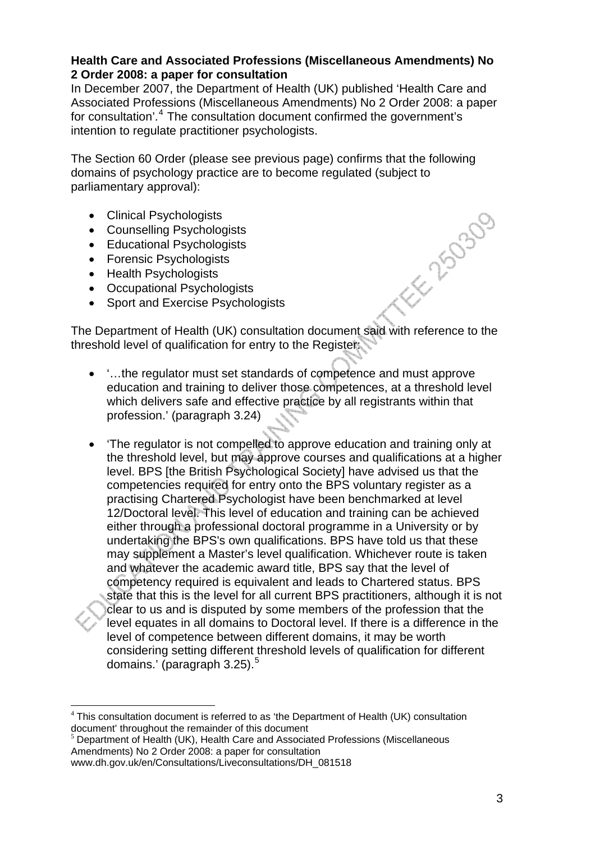#### **Health Care and Associated Professions (Miscellaneous Amendments) No 2 Order 2008: a paper for consultation**

In December 2007, the Department of Health (UK) published 'Health Care and Associated Professions (Miscellaneous Amendments) No 2 Order 2008: a paper for consultation'.<sup>4</sup> The consultation document confirmed the government's intention to regulate practitioner psychologists.

The Section 60 Order (please see previous page) confirms that the following domains of psychology practice are to become regulated (subject to parliamentary approval):

- Clinical Psychologists
- Counselling Psychologists
- Educational Psychologists
- Forensic Psychologists
- Health Psychologists
- Occupational Psychologists
- Sport and Exercise Psychologists

The Department of Health (UK) consultation document said with reference to the threshold level of qualification for entry to the Register:

- '…the regulator must set standards of competence and must approve education and training to deliver those competences, at a threshold level which delivers safe and effective practice by all registrants within that profession.' (paragraph 3.24)
- 'The regulator is not compelled to approve education and training only at the threshold level, but may approve courses and qualifications at a higher level. BPS [the British Psychological Society] have advised us that the competencies required for entry onto the BPS voluntary register as a practising Chartered Psychologist have been benchmarked at level 12/Doctoral level. This level of education and training can be achieved either through a professional doctoral programme in a University or by undertaking the BPS's own qualifications. BPS have told us that these may supplement a Master's level qualification. Whichever route is taken and whatever the academic award title, BPS say that the level of competency required is equivalent and leads to Chartered status. BPS state that this is the level for all current BPS practitioners, although it is not clear to us and is disputed by some members of the profession that the level equates in all domains to Doctoral level. If there is a difference in the level of competence between different domains, it may be worth considering setting different threshold levels of qualification for different domains.' (paragraph  $3.25$ ).<sup>5</sup>

l

**FERINGSO** 

<sup>4</sup> This consultation document is referred to as 'the Department of Health (UK) consultation document' throughout the remainder of this document

<sup>&</sup>lt;sup>5</sup> Department of Health (UK), Health Care and Associated Professions (Miscellaneous Amendments) No 2 Order 2008: a paper for consultation

www.dh.gov.uk/en/Consultations/Liveconsultations/DH\_081518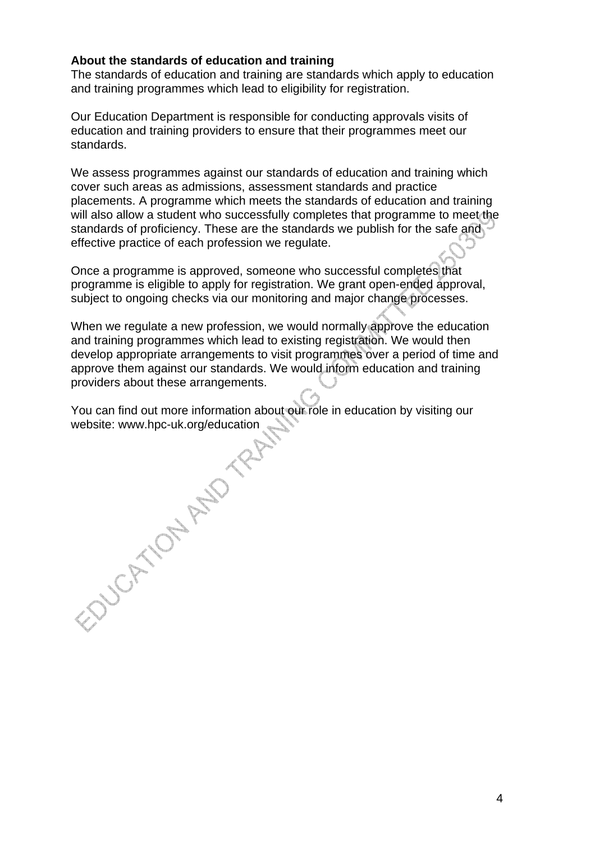#### **About the standards of education and training**

The standards of education and training are standards which apply to education and training programmes which lead to eligibility for registration.

Our Education Department is responsible for conducting approvals visits of education and training providers to ensure that their programmes meet our standards.

We assess programmes against our standards of education and training which cover such areas as admissions, assessment standards and practice placements. A programme which meets the standards of education and training will also allow a student who successfully completes that programme to meet the standards of proficiency. These are the standards we publish for the safe and effective practice of each profession we regulate.

Once a programme is approved, someone who successful completes that programme is eligible to apply for registration. We grant open-ended approval, subject to ongoing checks via our monitoring and major change processes.

When we regulate a new profession, we would normally approve the education and training programmes which lead to existing registration. We would then develop appropriate arrangements to visit programmes over a period of time and approve them against our standards. We would inform education and training providers about these arrangements.

You can find out more information about our role in education by visiting our website: which is a windown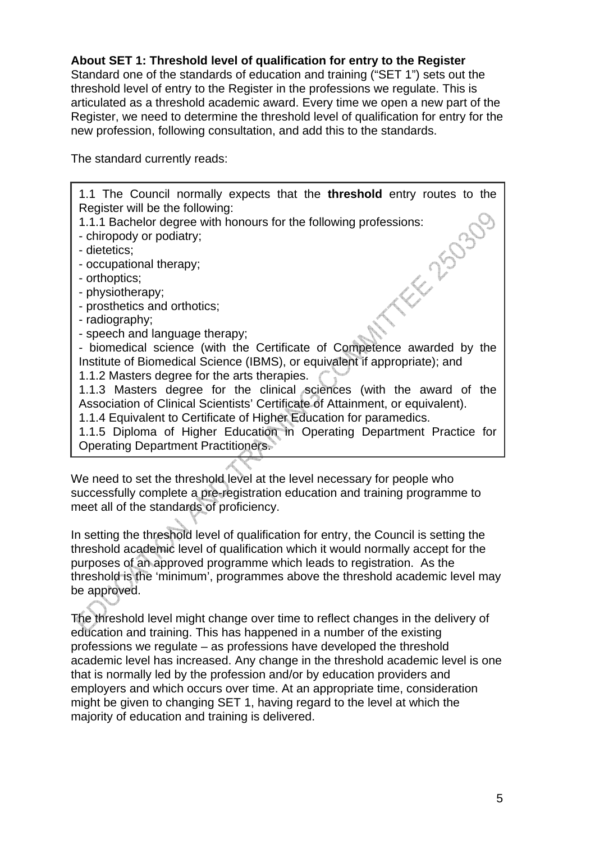# **About SET 1: Threshold level of qualification for entry to the Register**

Standard one of the standards of education and training ("SET 1") sets out the threshold level of entry to the Register in the professions we regulate. This is articulated as a threshold academic award. Every time we open a new part of the Register, we need to determine the threshold level of qualification for entry for the new profession, following consultation, and add this to the standards.

The standard currently reads:

1.1 The Council normally expects that the **threshold** entry routes to the Register will be the following: 1.1.1 Bachelor degree with honours for the following professions:<br>
- chiropody or podiatry;<br>
- dietetics;<br>
- occupational therapy;<br>
- orthoptics;<br>
- physiotherapy;<br>
- prosthetics and orthology;<br>
- radiograpy; - chiropody or podiatry; - dietetics; - occupational therapy; - orthoptics; - physiotherapy; - prosthetics and orthotics; - radiography; - speech and language therapy; - biomedical science (with the Certificate of Competence awarded by the Institute of Biomedical Science (IBMS), or equivalent if appropriate); and 1.1.2 Masters degree for the arts therapies. 1.1.3 Masters degree for the clinical sciences (with the award of the Association of Clinical Scientists' Certificate of Attainment, or equivalent). 1.1.4 Equivalent to Certificate of Higher Education for paramedics. 1.1.5 Diploma of Higher Education in Operating Department Practice for Operating Department Practitioners.

We need to set the threshold level at the level necessary for people who successfully complete a pre-registration education and training programme to meet all of the standards of proficiency.

In setting the threshold level of qualification for entry, the Council is setting the threshold academic level of qualification which it would normally accept for the purposes of an approved programme which leads to registration. As the threshold is the 'minimum', programmes above the threshold academic level may be approved.

The threshold level might change over time to reflect changes in the delivery of education and training. This has happened in a number of the existing professions we regulate – as professions have developed the threshold academic level has increased. Any change in the threshold academic level is one that is normally led by the profession and/or by education providers and employers and which occurs over time. At an appropriate time, consideration might be given to changing SET 1, having regard to the level at which the majority of education and training is delivered.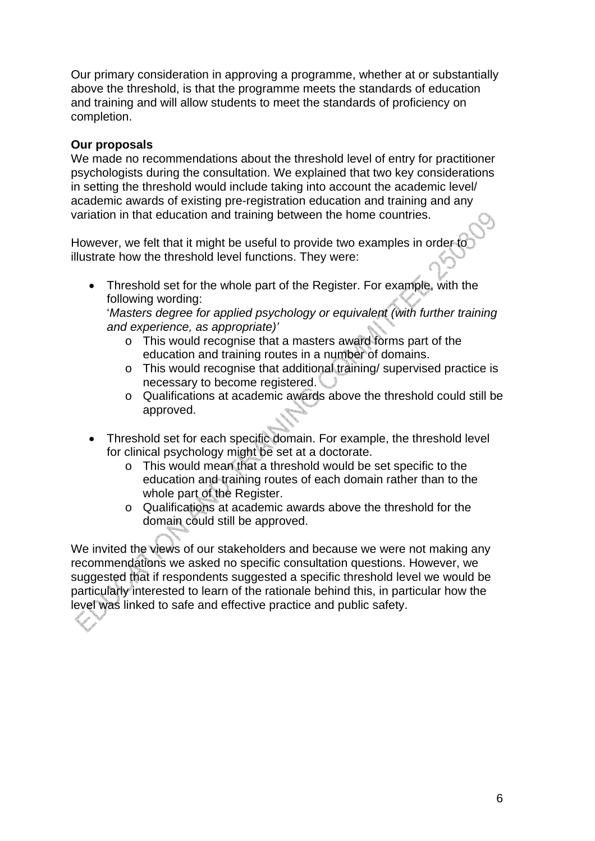Our primary consideration in approving a programme, whether at or substantially above the threshold, is that the programme meets the standards of education and training and will allow students to meet the standards of proficiency on completion.

#### **Our proposals**

We made no recommendations about the threshold level of entry for practitioner psychologists during the consultation. We explained that two key considerations in setting the threshold would include taking into account the academic level/ academic awards of existing pre-registration education and training and any variation in that education and training between the home countries.

However, we felt that it might be useful to provide two examples in order to illustrate how the threshold level functions. They were:

• Threshold set for the whole part of the Register. For example, with the following wording:

'*Masters degree for applied psychology or equivalent (with further training and experience, as appropriate)'*

- o This would recognise that a masters award forms part of the education and training routes in a number of domains.
- o This would recognise that additional training/ supervised practice is necessary to become registered.
- o Qualifications at academic awards above the threshold could still be approved.
- Threshold set for each specific domain. For example, the threshold level for clinical psychology might be set at a doctorate.
	- o This would mean that a threshold would be set specific to the education and training routes of each domain rather than to the whole part of the Register.
	- o Qualifications at academic awards above the threshold for the domain could still be approved.

We invited the views of our stakeholders and because we were not making any recommendations we asked no specific consultation questions. However, we suggested that if respondents suggested a specific threshold level we would be particularly interested to learn of the rationale behind this, in particular how the level was linked to safe and effective practice and public safety.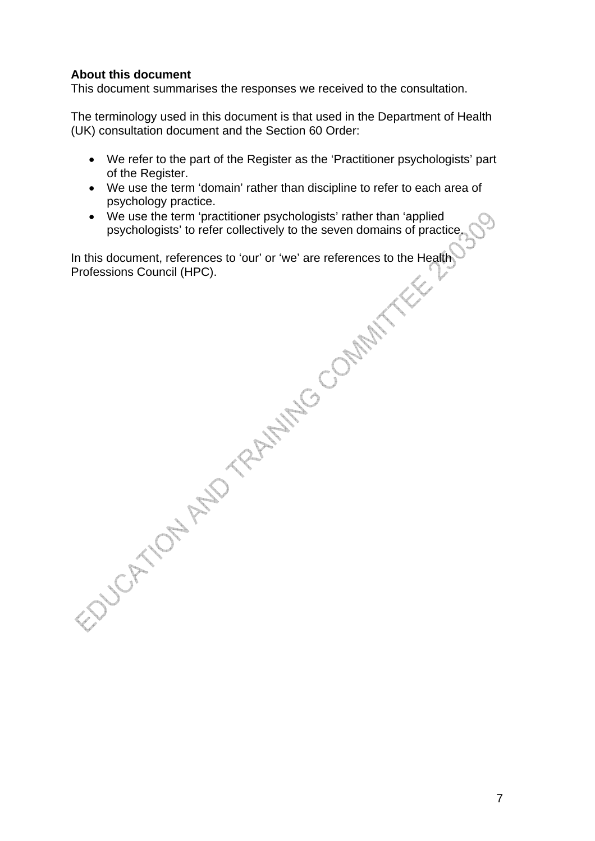### **About this document**

This document summarises the responses we received to the consultation.

The terminology used in this document is that used in the Department of Health (UK) consultation document and the Section 60 Order:

- We refer to the part of the Register as the 'Practitioner psychologists' part of the Register.
- We use the term 'domain' rather than discipline to refer to each area of psychology practice.
- We use the term 'practitioner psychologists' rather than 'applied psychologists' to refer collectively to the seven domains of practice.

In this document, references to 'our' or 'we' are references to the Health Professions Council (HPC).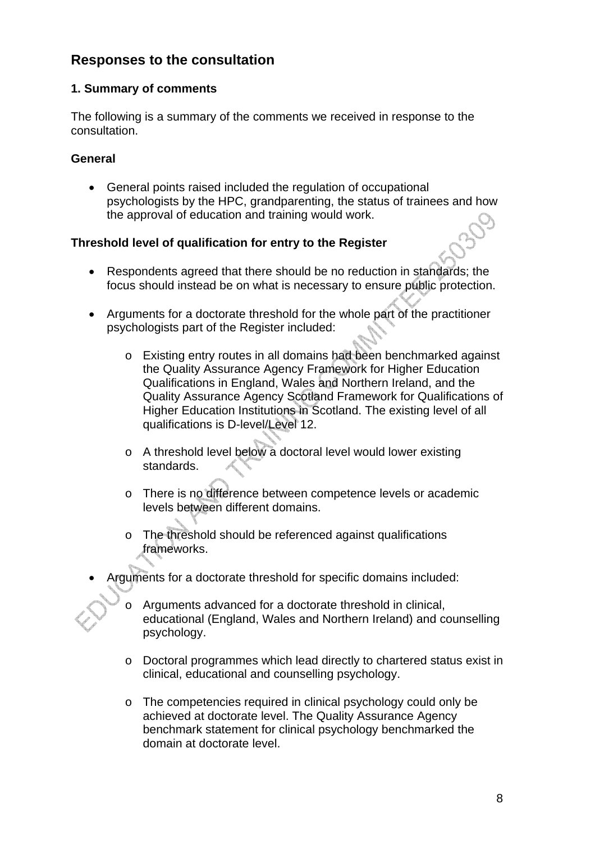# **Responses to the consultation**

# **1. Summary of comments**

The following is a summary of the comments we received in response to the consultation.

### **General**

• General points raised included the regulation of occupational psychologists by the HPC, grandparenting, the status of trainees and how the approval of education and training would work.

# **Threshold level of qualification for entry to the Register**

- Respondents agreed that there should be no reduction in standards; the focus should instead be on what is necessary to ensure public protection.
- Arguments for a doctorate threshold for the whole part of the practitioner psychologists part of the Register included:
	- o Existing entry routes in all domains had been benchmarked against the Quality Assurance Agency Framework for Higher Education Qualifications in England, Wales and Northern Ireland, and the Quality Assurance Agency Scotland Framework for Qualifications of Higher Education Institutions in Scotland. The existing level of all qualifications is D-level/Level 12.
	- o A threshold level below a doctoral level would lower existing standards.
	- o There is no difference between competence levels or academic levels between different domains.
	- o The threshold should be referenced against qualifications frameworks.
- Arguments for a doctorate threshold for specific domains included:
	- o Arguments advanced for a doctorate threshold in clinical, educational (England, Wales and Northern Ireland) and counselling psychology.
	- o Doctoral programmes which lead directly to chartered status exist in clinical, educational and counselling psychology.
	- o The competencies required in clinical psychology could only be achieved at doctorate level. The Quality Assurance Agency benchmark statement for clinical psychology benchmarked the domain at doctorate level.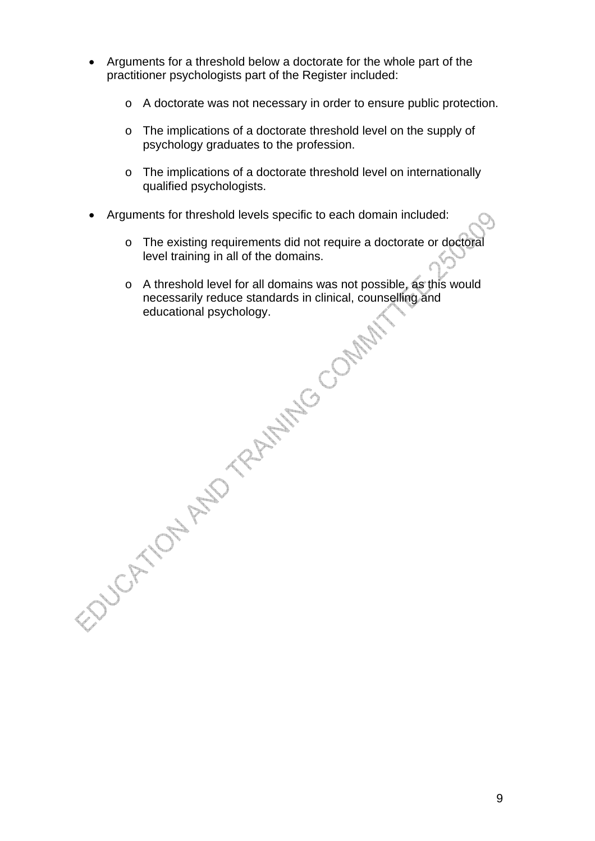- Arguments for a threshold below a doctorate for the whole part of the practitioner psychologists part of the Register included:
	- o A doctorate was not necessary in order to ensure public protection.
	- o The implications of a doctorate threshold level on the supply of psychology graduates to the profession.
	- o The implications of a doctorate threshold level on internationally qualified psychologists.
- Arguments for threshold levels specific to each domain included:
	- o The existing requirements did not require a doctorate or doctoral level training in all of the domains.
- o A threshold level for all domains was not possible, as this would necessarily reduce standards in clinical, counselling and EDUCATIONAL PSYCHOLOGY AND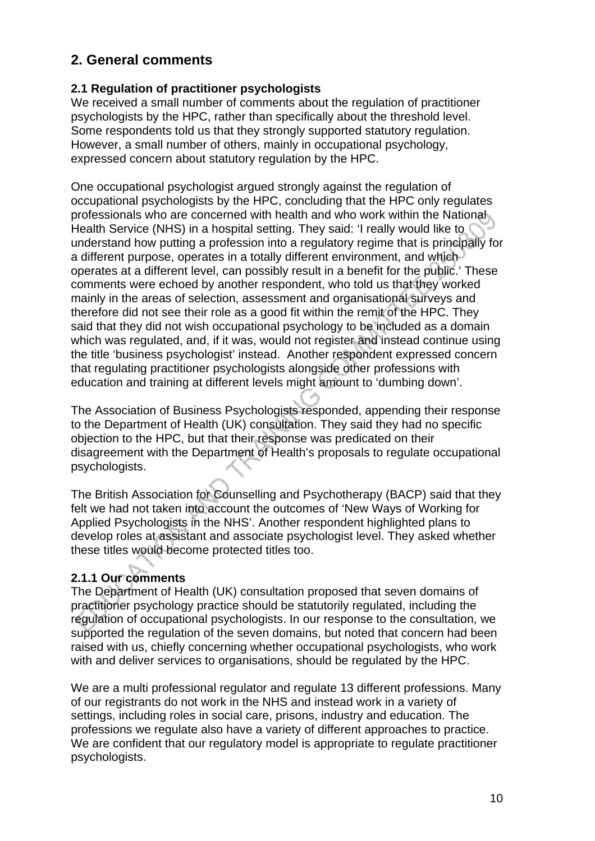# **2. General comments**

# **2.1 Regulation of practitioner psychologists**

We received a small number of comments about the regulation of practitioner psychologists by the HPC, rather than specifically about the threshold level. Some respondents told us that they strongly supported statutory regulation. However, a small number of others, mainly in occupational psychology, expressed concern about statutory regulation by the HPC.

One occupational psychologist argued strongly against the regulation of occupational psychologists by the HPC, concluding that the HPC only regulates professionals who are concerned with health and who work within the National Health Service (NHS) in a hospital setting. They said: 'I really would like to understand how putting a profession into a regulatory regime that is principally for a different purpose, operates in a totally different environment, and which operates at a different level, can possibly result in a benefit for the public.' These comments were echoed by another respondent, who told us that they worked mainly in the areas of selection, assessment and organisational surveys and therefore did not see their role as a good fit within the remit of the HPC. They said that they did not wish occupational psychology to be included as a domain which was regulated, and, if it was, would not register and instead continue using the title 'business psychologist' instead. Another respondent expressed concern that regulating practitioner psychologists alongside other professions with education and training at different levels might amount to 'dumbing down'.

The Association of Business Psychologists responded, appending their response to the Department of Health (UK) consultation. They said they had no specific objection to the HPC, but that their response was predicated on their disagreement with the Department of Health's proposals to regulate occupational psychologists.

The British Association for Counselling and Psychotherapy (BACP) said that they felt we had not taken into account the outcomes of 'New Ways of Working for Applied Psychologists in the NHS'. Another respondent highlighted plans to develop roles at assistant and associate psychologist level. They asked whether these titles would become protected titles too.

# **2.1.1 Our comments**

The Department of Health (UK) consultation proposed that seven domains of practitioner psychology practice should be statutorily regulated, including the regulation of occupational psychologists. In our response to the consultation, we supported the regulation of the seven domains, but noted that concern had been raised with us, chiefly concerning whether occupational psychologists, who work with and deliver services to organisations, should be regulated by the HPC.

We are a multi professional regulator and regulate 13 different professions. Many of our registrants do not work in the NHS and instead work in a variety of settings, including roles in social care, prisons, industry and education. The professions we regulate also have a variety of different approaches to practice. We are confident that our regulatory model is appropriate to regulate practitioner psychologists.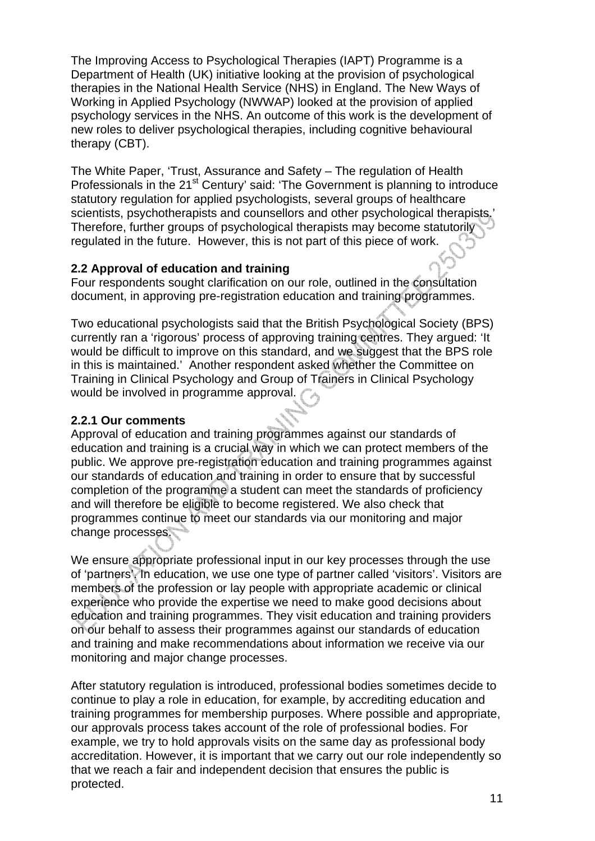The Improving Access to Psychological Therapies (IAPT) Programme is a Department of Health (UK) initiative looking at the provision of psychological therapies in the National Health Service (NHS) in England. The New Ways of Working in Applied Psychology (NWWAP) looked at the provision of applied psychology services in the NHS. An outcome of this work is the development of new roles to deliver psychological therapies, including cognitive behavioural therapy (CBT).

The White Paper, 'Trust, Assurance and Safety – The regulation of Health Professionals in the 21<sup>st</sup> Century' said: 'The Government is planning to introduce statutory regulation for applied psychologists, several groups of healthcare scientists, psychotherapists and counsellors and other psychological therapists.' Therefore, further groups of psychological therapists may become statutorily regulated in the future. However, this is not part of this piece of work.

# **2.2 Approval of education and training**

Four respondents sought clarification on our role, outlined in the consultation document, in approving pre-registration education and training programmes.

Two educational psychologists said that the British Psychological Society (BPS) currently ran a 'rigorous' process of approving training centres. They argued: 'It would be difficult to improve on this standard, and we suggest that the BPS role in this is maintained.' Another respondent asked whether the Committee on Training in Clinical Psychology and Group of Trainers in Clinical Psychology would be involved in programme approval.

#### **2.2.1 Our comments**

Approval of education and training programmes against our standards of education and training is a crucial way in which we can protect members of the public. We approve pre-registration education and training programmes against our standards of education and training in order to ensure that by successful completion of the programme a student can meet the standards of proficiency and will therefore be eligible to become registered. We also check that programmes continue to meet our standards via our monitoring and major change processes.

We ensure appropriate professional input in our key processes through the use of 'partners'. In education, we use one type of partner called 'visitors'. Visitors are members of the profession or lay people with appropriate academic or clinical experience who provide the expertise we need to make good decisions about education and training programmes. They visit education and training providers on our behalf to assess their programmes against our standards of education and training and make recommendations about information we receive via our monitoring and major change processes.

After statutory regulation is introduced, professional bodies sometimes decide to continue to play a role in education, for example, by accrediting education and training programmes for membership purposes. Where possible and appropriate, our approvals process takes account of the role of professional bodies. For example, we try to hold approvals visits on the same day as professional body accreditation. However, it is important that we carry out our role independently so that we reach a fair and independent decision that ensures the public is protected.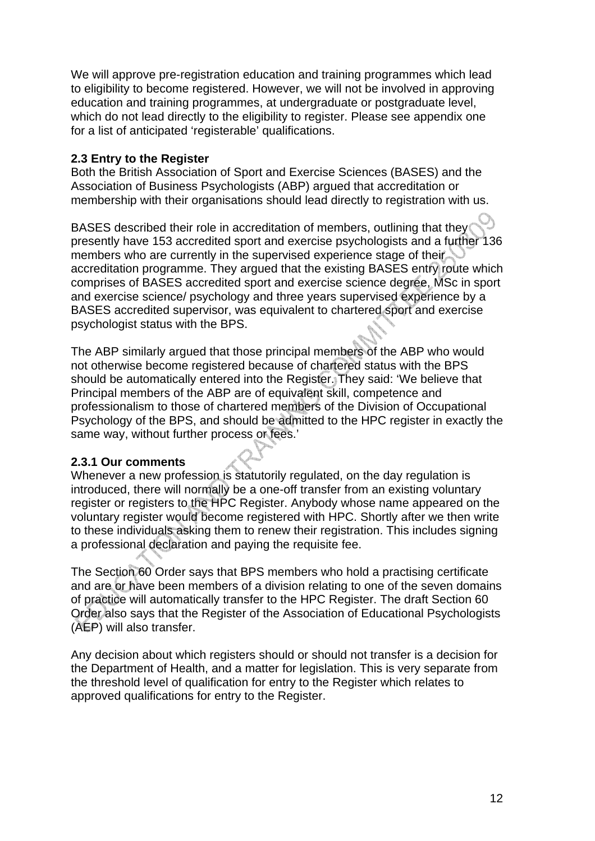We will approve pre-registration education and training programmes which lead to eligibility to become registered. However, we will not be involved in approving education and training programmes, at undergraduate or postgraduate level, which do not lead directly to the eligibility to register. Please see appendix one for a list of anticipated 'registerable' qualifications.

#### **2.3 Entry to the Register**

Both the British Association of Sport and Exercise Sciences (BASES) and the Association of Business Psychologists (ABP) argued that accreditation or membership with their organisations should lead directly to registration with us.

BASES described their role in accreditation of members, outlining that they presently have 153 accredited sport and exercise psychologists and a further 136 members who are currently in the supervised experience stage of their accreditation programme. They argued that the existing BASES entry route which comprises of BASES accredited sport and exercise science degree, MSc in sport and exercise science/ psychology and three years supervised experience by a BASES accredited supervisor, was equivalent to chartered sport and exercise psychologist status with the BPS.

The ABP similarly argued that those principal members of the ABP who would not otherwise become registered because of chartered status with the BPS should be automatically entered into the Register. They said: 'We believe that Principal members of the ABP are of equivalent skill, competence and professionalism to those of chartered members of the Division of Occupational Psychology of the BPS, and should be admitted to the HPC register in exactly the same way, without further process or fees.'

# **2.3.1 Our comments**

Whenever a new profession is statutorily regulated, on the day regulation is introduced, there will normally be a one-off transfer from an existing voluntary register or registers to the HPC Register. Anybody whose name appeared on the voluntary register would become registered with HPC. Shortly after we then write to these individuals asking them to renew their registration. This includes signing a professional declaration and paying the requisite fee.

The Section 60 Order says that BPS members who hold a practising certificate and are or have been members of a division relating to one of the seven domains of practice will automatically transfer to the HPC Register. The draft Section 60 Order also says that the Register of the Association of Educational Psychologists (AEP) will also transfer.

Any decision about which registers should or should not transfer is a decision for the Department of Health, and a matter for legislation. This is very separate from the threshold level of qualification for entry to the Register which relates to approved qualifications for entry to the Register.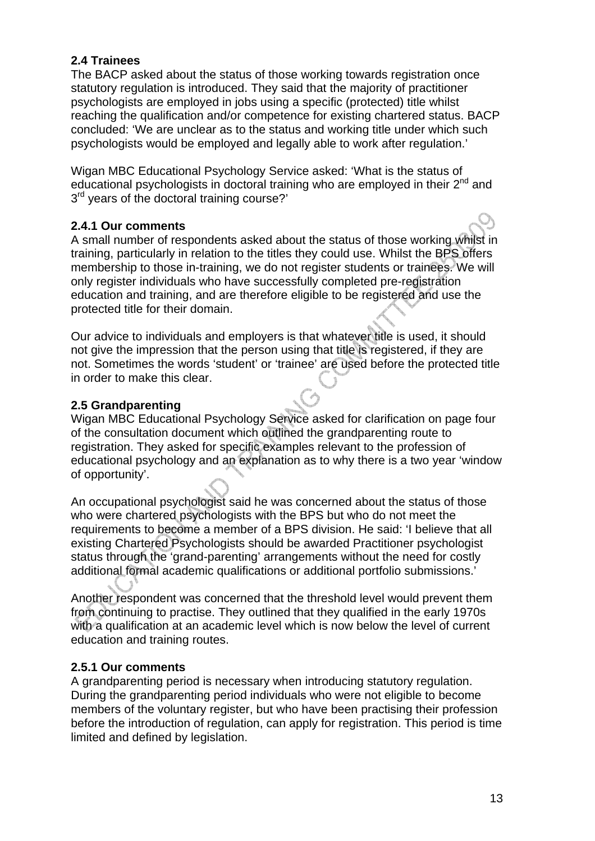#### **2.4 Trainees**

The BACP asked about the status of those working towards registration once statutory regulation is introduced. They said that the majority of practitioner psychologists are employed in jobs using a specific (protected) title whilst reaching the qualification and/or competence for existing chartered status. BACP concluded: 'We are unclear as to the status and working title under which such psychologists would be employed and legally able to work after regulation.'

Wigan MBC Educational Psychology Service asked: 'What is the status of educational psychologists in doctoral training who are employed in their  $2<sup>nd</sup>$  and 3<sup>rd</sup> years of the doctoral training course?'

#### **2.4.1 Our comments**

A small number of respondents asked about the status of those working whilst in training, particularly in relation to the titles they could use. Whilst the BPS offers membership to those in-training, we do not register students or trainees. We will only register individuals who have successfully completed pre-registration education and training, and are therefore eligible to be registered and use the protected title for their domain.

Our advice to individuals and employers is that whatever title is used, it should not give the impression that the person using that title is registered, if they are not. Sometimes the words 'student' or 'trainee' are used before the protected title in order to make this clear.

#### **2.5 Grandparenting**

Wigan MBC Educational Psychology Service asked for clarification on page four of the consultation document which outlined the grandparenting route to registration. They asked for specific examples relevant to the profession of educational psychology and an explanation as to why there is a two year 'window of opportunity'.

An occupational psychologist said he was concerned about the status of those who were chartered psychologists with the BPS but who do not meet the requirements to become a member of a BPS division. He said: 'I believe that all existing Chartered Psychologists should be awarded Practitioner psychologist status through the 'grand-parenting' arrangements without the need for costly additional formal academic qualifications or additional portfolio submissions.'

Another respondent was concerned that the threshold level would prevent them from continuing to practise. They outlined that they qualified in the early 1970s with a qualification at an academic level which is now below the level of current education and training routes.

# **2.5.1 Our comments**

A grandparenting period is necessary when introducing statutory regulation. During the grandparenting period individuals who were not eligible to become members of the voluntary register, but who have been practising their profession before the introduction of regulation, can apply for registration. This period is time limited and defined by legislation.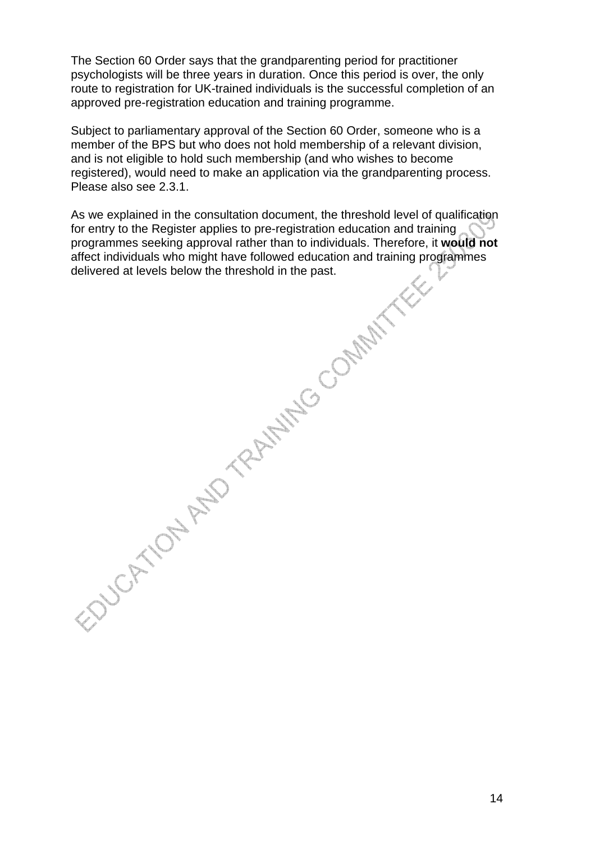The Section 60 Order says that the grandparenting period for practitioner psychologists will be three years in duration. Once this period is over, the only route to registration for UK-trained individuals is the successful completion of an approved pre-registration education and training programme.

Subject to parliamentary approval of the Section 60 Order, someone who is a member of the BPS but who does not hold membership of a relevant division, and is not eligible to hold such membership (and who wishes to become registered), would need to make an application via the grandparenting process. Please also see 2.3.1.

As we explained in the consultation document, the threshold level of qualification for entry to the Register applies to pre-registration education and training programmes seeking approval rather than to individuals. Therefore, it **would not** affect individuals who might have followed education and training programmes EDUCATION AND TRAINING COMMITMENT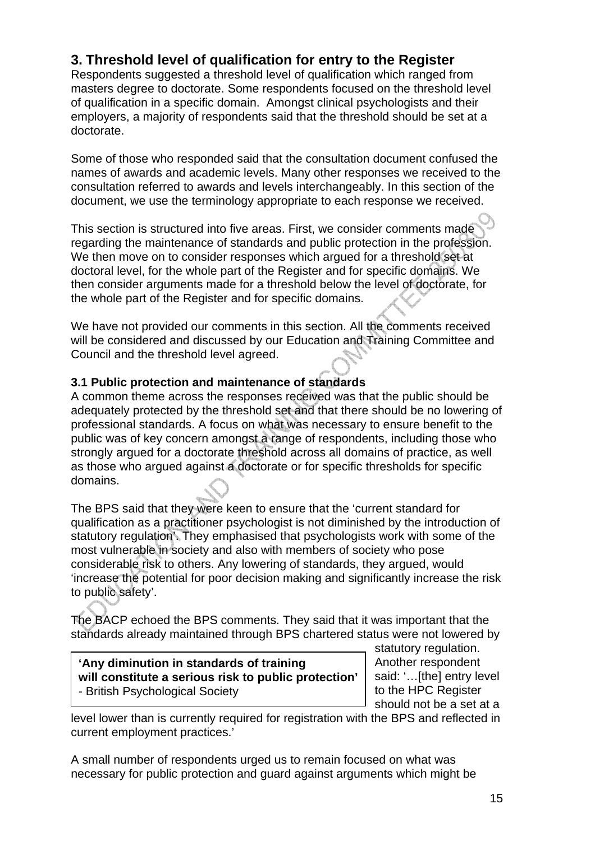# **3. Threshold level of qualification for entry to the Register**

Respondents suggested a threshold level of qualification which ranged from masters degree to doctorate. Some respondents focused on the threshold level of qualification in a specific domain. Amongst clinical psychologists and their employers, a majority of respondents said that the threshold should be set at a doctorate.

Some of those who responded said that the consultation document confused the names of awards and academic levels. Many other responses we received to the consultation referred to awards and levels interchangeably. In this section of the document, we use the terminology appropriate to each response we received.

This section is structured into five areas. First, we consider comments made regarding the maintenance of standards and public protection in the profession. We then move on to consider responses which argued for a threshold set at doctoral level, for the whole part of the Register and for specific domains. We then consider arguments made for a threshold below the level of doctorate, for the whole part of the Register and for specific domains.

We have not provided our comments in this section. All the comments received will be considered and discussed by our Education and Training Committee and Council and the threshold level agreed.

# **3.1 Public protection and maintenance of standards**

A common theme across the responses received was that the public should be adequately protected by the threshold set and that there should be no lowering of professional standards. A focus on what was necessary to ensure benefit to the public was of key concern amongst a range of respondents, including those who strongly argued for a doctorate threshold across all domains of practice, as well as those who argued against a doctorate or for specific thresholds for specific domains.

The BPS said that they were keen to ensure that the 'current standard for qualification as a practitioner psychologist is not diminished by the introduction of statutory regulation'. They emphasised that psychologists work with some of the most vulnerable in society and also with members of society who pose considerable risk to others. Any lowering of standards, they argued, would 'increase the potential for poor decision making and significantly increase the risk to public safety'.

The BACP echoed the BPS comments. They said that it was important that the standards already maintained through BPS chartered status were not lowered by

**'Any diminution in standards of training will constitute a serious risk to public protection'**  - British Psychological Society

statutory regulation. Another respondent said: '... [the] entry level to the HPC Register should not be a set at a

level lower than is currently required for registration with the BPS and reflected in current employment practices.'

A small number of respondents urged us to remain focused on what was necessary for public protection and guard against arguments which might be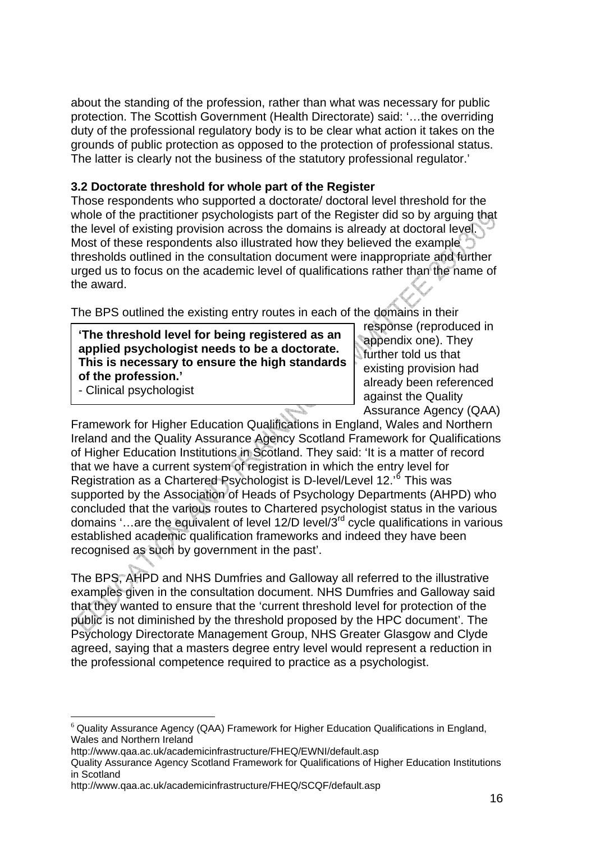about the standing of the profession, rather than what was necessary for public protection. The Scottish Government (Health Directorate) said: '…the overriding duty of the professional regulatory body is to be clear what action it takes on the grounds of public protection as opposed to the protection of professional status. The latter is clearly not the business of the statutory professional regulator.'

# **3.2 Doctorate threshold for whole part of the Register**

Those respondents who supported a doctorate/ doctoral level threshold for the whole of the practitioner psychologists part of the Register did so by arguing that the level of existing provision across the domains is already at doctoral level. Most of these respondents also illustrated how they believed the example thresholds outlined in the consultation document were inappropriate and further urged us to focus on the academic level of qualifications rather than the name of the award.

The BPS outlined the existing entry routes in each of the domains in their

**'The threshold level for being registered as an applied psychologist needs to be a doctorate. This is necessary to ensure the high standards of the profession.'** 

- Clinical psychologist

response (reproduced in appendix one). They further told us that existing provision had already been referenced against the Quality Assurance Agency (QAA)

Framework for Higher Education Qualifications in England, Wales and Northern Ireland and the Quality Assurance Agency Scotland Framework for Qualifications of Higher Education Institutions in Scotland. They said: 'It is a matter of record that we have a current system of registration in which the entry level for Registration as a Chartered Psychologist is D-level/Level 12.'<sup>6</sup> This was supported by the Association of Heads of Psychology Departments (AHPD) who concluded that the various routes to Chartered psychologist status in the various domains '…are the equivalent of level 12/D level/3rd cycle qualifications in various established academic qualification frameworks and indeed they have been recognised as such by government in the past'.

The BPS, AHPD and NHS Dumfries and Galloway all referred to the illustrative examples given in the consultation document. NHS Dumfries and Galloway said that they wanted to ensure that the 'current threshold level for protection of the public is not diminished by the threshold proposed by the HPC document'. The Psychology Directorate Management Group, NHS Greater Glasgow and Clyde agreed, saying that a masters degree entry level would represent a reduction in the professional competence required to practice as a psychologist.

l  $6$  Quality Assurance Agency (QAA) Framework for Higher Education Qualifications in England, Wales and Northern Ireland

http://www.qaa.ac.uk/academicinfrastructure/FHEQ/EWNI/default.asp

Quality Assurance Agency Scotland Framework for Qualifications of Higher Education Institutions in Scotland

http://www.qaa.ac.uk/academicinfrastructure/FHEQ/SCQF/default.asp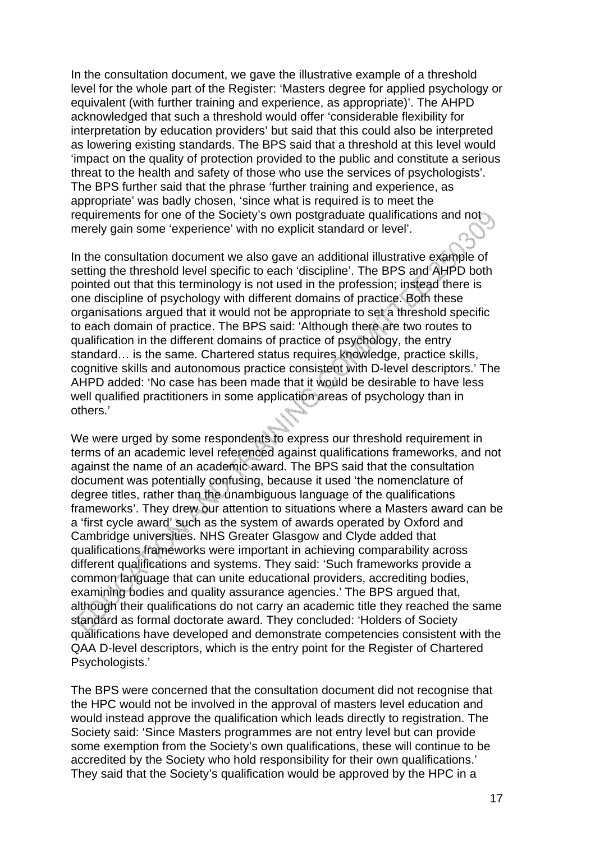In the consultation document, we gave the illustrative example of a threshold level for the whole part of the Register: 'Masters degree for applied psychology or equivalent (with further training and experience, as appropriate)'. The AHPD acknowledged that such a threshold would offer 'considerable flexibility for interpretation by education providers' but said that this could also be interpreted as lowering existing standards. The BPS said that a threshold at this level would 'impact on the quality of protection provided to the public and constitute a serious threat to the health and safety of those who use the services of psychologists'. The BPS further said that the phrase 'further training and experience, as appropriate' was badly chosen, 'since what is required is to meet the requirements for one of the Society's own postgraduate qualifications and not merely gain some 'experience' with no explicit standard or level'.

In the consultation document we also gave an additional illustrative example of setting the threshold level specific to each 'discipline'. The BPS and AHPD both pointed out that this terminology is not used in the profession; instead there is one discipline of psychology with different domains of practice. Both these organisations argued that it would not be appropriate to set a threshold specific to each domain of practice. The BPS said: 'Although there are two routes to qualification in the different domains of practice of psychology, the entry standard… is the same. Chartered status requires knowledge, practice skills, cognitive skills and autonomous practice consistent with D-level descriptors.' The AHPD added: 'No case has been made that it would be desirable to have less well qualified practitioners in some application areas of psychology than in others.'

We were urged by some respondents to express our threshold requirement in terms of an academic level referenced against qualifications frameworks, and not against the name of an academic award. The BPS said that the consultation document was potentially confusing, because it used 'the nomenclature of degree titles, rather than the unambiguous language of the qualifications frameworks'. They drew our attention to situations where a Masters award can be a 'first cycle award' such as the system of awards operated by Oxford and Cambridge universities. NHS Greater Glasgow and Clyde added that qualifications frameworks were important in achieving comparability across different qualifications and systems. They said: 'Such frameworks provide a common language that can unite educational providers, accrediting bodies, examining bodies and quality assurance agencies.' The BPS argued that, although their qualifications do not carry an academic title they reached the same standard as formal doctorate award. They concluded: 'Holders of Society qualifications have developed and demonstrate competencies consistent with the QAA D-level descriptors, which is the entry point for the Register of Chartered Psychologists.'

The BPS were concerned that the consultation document did not recognise that the HPC would not be involved in the approval of masters level education and would instead approve the qualification which leads directly to registration. The Society said: 'Since Masters programmes are not entry level but can provide some exemption from the Society's own qualifications, these will continue to be accredited by the Society who hold responsibility for their own qualifications.' They said that the Society's qualification would be approved by the HPC in a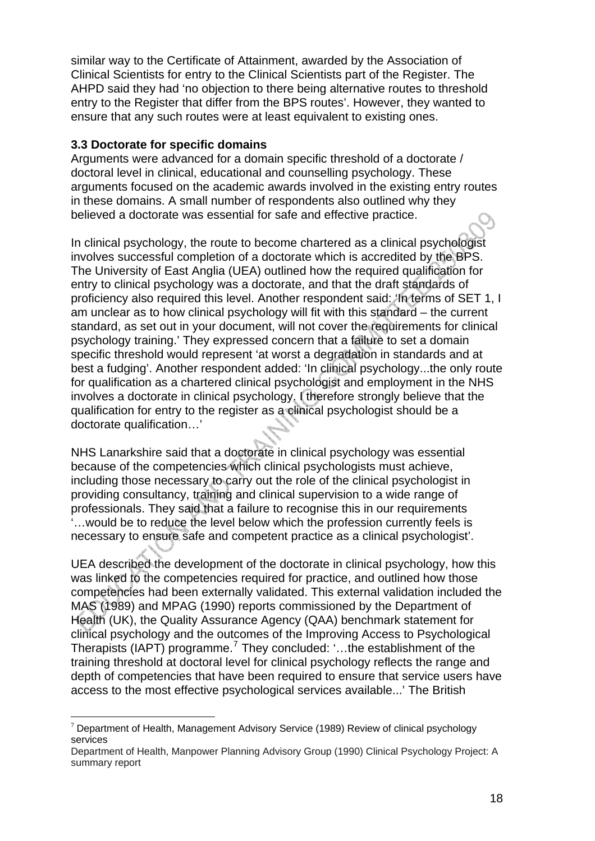similar way to the Certificate of Attainment, awarded by the Association of Clinical Scientists for entry to the Clinical Scientists part of the Register. The AHPD said they had 'no objection to there being alternative routes to threshold entry to the Register that differ from the BPS routes'. However, they wanted to ensure that any such routes were at least equivalent to existing ones.

#### **3.3 Doctorate for specific domains**

Arguments were advanced for a domain specific threshold of a doctorate / doctoral level in clinical, educational and counselling psychology. These arguments focused on the academic awards involved in the existing entry routes in these domains. A small number of respondents also outlined why they believed a doctorate was essential for safe and effective practice.

In clinical psychology, the route to become chartered as a clinical psychologist involves successful completion of a doctorate which is accredited by the BPS. The University of East Anglia (UEA) outlined how the required qualification for entry to clinical psychology was a doctorate, and that the draft standards of proficiency also required this level. Another respondent said: 'In terms of SET 1, I am unclear as to how clinical psychology will fit with this standard – the current standard, as set out in your document, will not cover the requirements for clinical psychology training.' They expressed concern that a failure to set a domain specific threshold would represent 'at worst a degradation in standards and at best a fudging'. Another respondent added: 'In clinical psychology...the only route for qualification as a chartered clinical psychologist and employment in the NHS involves a doctorate in clinical psychology. I therefore strongly believe that the qualification for entry to the register as a clinical psychologist should be a doctorate qualification…'

NHS Lanarkshire said that a doctorate in clinical psychology was essential because of the competencies which clinical psychologists must achieve, including those necessary to carry out the role of the clinical psychologist in providing consultancy, training and clinical supervision to a wide range of professionals. They said that a failure to recognise this in our requirements '…would be to reduce the level below which the profession currently feels is necessary to ensure safe and competent practice as a clinical psychologist'.

UEA described the development of the doctorate in clinical psychology, how this was linked to the competencies required for practice, and outlined how those competencies had been externally validated. This external validation included the MAS (1989) and MPAG (1990) reports commissioned by the Department of Health (UK), the Quality Assurance Agency (QAA) benchmark statement for clinical psychology and the outcomes of the Improving Access to Psychological Therapists (IAPT) programme.<sup>7</sup> They concluded: '...the establishment of the training threshold at doctoral level for clinical psychology reflects the range and depth of competencies that have been required to ensure that service users have access to the most effective psychological services available...' The British

l

 $7$  Department of Health, Management Advisory Service (1989) Review of clinical psychology services

Department of Health, Manpower Planning Advisory Group (1990) Clinical Psychology Project: A summary report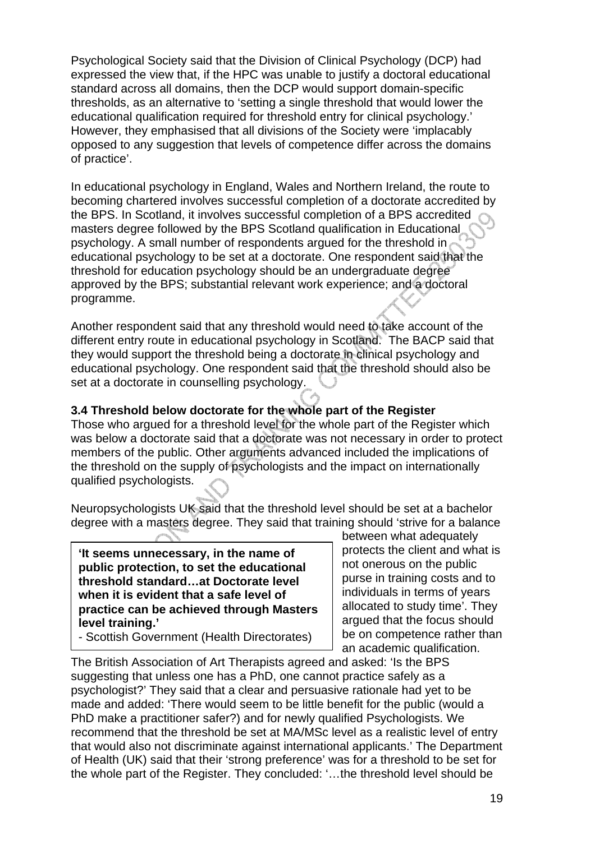Psychological Society said that the Division of Clinical Psychology (DCP) had expressed the view that, if the HPC was unable to justify a doctoral educational standard across all domains, then the DCP would support domain-specific thresholds, as an alternative to 'setting a single threshold that would lower the educational qualification required for threshold entry for clinical psychology.' However, they emphasised that all divisions of the Society were 'implacably opposed to any suggestion that levels of competence differ across the domains of practice'.

In educational psychology in England, Wales and Northern Ireland, the route to becoming chartered involves successful completion of a doctorate accredited by the BPS. In Scotland, it involves successful completion of a BPS accredited masters degree followed by the BPS Scotland qualification in Educational psychology. A small number of respondents argued for the threshold in educational psychology to be set at a doctorate. One respondent said that the threshold for education psychology should be an undergraduate degree approved by the BPS; substantial relevant work experience; and a doctoral programme.

Another respondent said that any threshold would need to take account of the different entry route in educational psychology in Scotland. The BACP said that they would support the threshold being a doctorate in clinical psychology and educational psychology. One respondent said that the threshold should also be set at a doctorate in counselling psychology.

# **3.4 Threshold below doctorate for the whole part of the Register**

Those who argued for a threshold level for the whole part of the Register which was below a doctorate said that a doctorate was not necessary in order to protect members of the public. Other arguments advanced included the implications of the threshold on the supply of psychologists and the impact on internationally qualified psychologists.

Neuropsychologists UK said that the threshold level should be set at a bachelor degree with a masters degree. They said that training should 'strive for a balance

**'It seems unnecessary, in the name of public protection, to set the educational threshold standard…at Doctorate level when it is evident that a safe level of practice can be achieved through Masters level training.'** 

- Scottish Government (Health Directorates)

between what adequately protects the client and what is not onerous on the public purse in training costs and to individuals in terms of years allocated to study time'. They argued that the focus should be on competence rather than an academic qualification.

The British Association of Art Therapists agreed and asked: 'Is the BPS suggesting that unless one has a PhD, one cannot practice safely as a psychologist?' They said that a clear and persuasive rationale had yet to be made and added: 'There would seem to be little benefit for the public (would a PhD make a practitioner safer?) and for newly qualified Psychologists. We recommend that the threshold be set at MA/MSc level as a realistic level of entry that would also not discriminate against international applicants.' The Department of Health (UK) said that their 'strong preference' was for a threshold to be set for the whole part of the Register. They concluded: '…the threshold level should be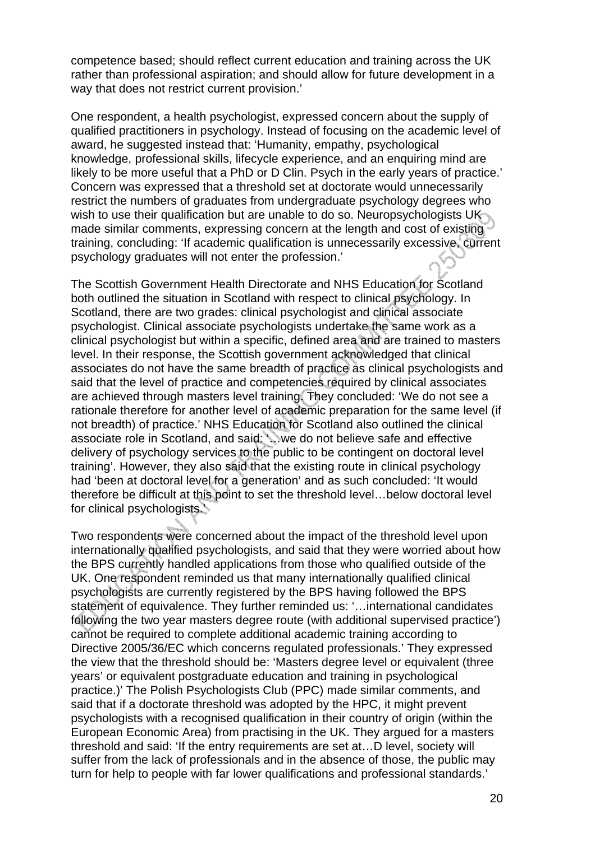competence based; should reflect current education and training across the UK rather than professional aspiration; and should allow for future development in a way that does not restrict current provision.'

One respondent, a health psychologist, expressed concern about the supply of qualified practitioners in psychology. Instead of focusing on the academic level of award, he suggested instead that: 'Humanity, empathy, psychological knowledge, professional skills, lifecycle experience, and an enquiring mind are likely to be more useful that a PhD or D Clin. Psych in the early years of practice.' Concern was expressed that a threshold set at doctorate would unnecessarily restrict the numbers of graduates from undergraduate psychology degrees who wish to use their qualification but are unable to do so. Neuropsychologists UK made similar comments, expressing concern at the length and cost of existing training, concluding: 'If academic qualification is unnecessarily excessive, current psychology graduates will not enter the profession.'

The Scottish Government Health Directorate and NHS Education for Scotland both outlined the situation in Scotland with respect to clinical psychology. In Scotland, there are two grades: clinical psychologist and clinical associate psychologist. Clinical associate psychologists undertake the same work as a clinical psychologist but within a specific, defined area and are trained to masters level. In their response, the Scottish government acknowledged that clinical associates do not have the same breadth of practice as clinical psychologists and said that the level of practice and competencies required by clinical associates are achieved through masters level training. They concluded: 'We do not see a rationale therefore for another level of academic preparation for the same level (if not breadth) of practice.' NHS Education for Scotland also outlined the clinical associate role in Scotland, and said: '…we do not believe safe and effective delivery of psychology services to the public to be contingent on doctoral level training'. However, they also said that the existing route in clinical psychology had 'been at doctoral level for a generation' and as such concluded: 'It would therefore be difficult at this point to set the threshold level…below doctoral level for clinical psychologists.

Two respondents were concerned about the impact of the threshold level upon internationally qualified psychologists, and said that they were worried about how the BPS currently handled applications from those who qualified outside of the UK. One respondent reminded us that many internationally qualified clinical psychologists are currently registered by the BPS having followed the BPS statement of equivalence. They further reminded us: '…international candidates following the two year masters degree route (with additional supervised practice') cannot be required to complete additional academic training according to Directive 2005/36/EC which concerns regulated professionals.' They expressed the view that the threshold should be: 'Masters degree level or equivalent (three years' or equivalent postgraduate education and training in psychological practice.)' The Polish Psychologists Club (PPC) made similar comments, and said that if a doctorate threshold was adopted by the HPC, it might prevent psychologists with a recognised qualification in their country of origin (within the European Economic Area) from practising in the UK. They argued for a masters threshold and said: 'If the entry requirements are set at…D level, society will suffer from the lack of professionals and in the absence of those, the public may turn for help to people with far lower qualifications and professional standards.'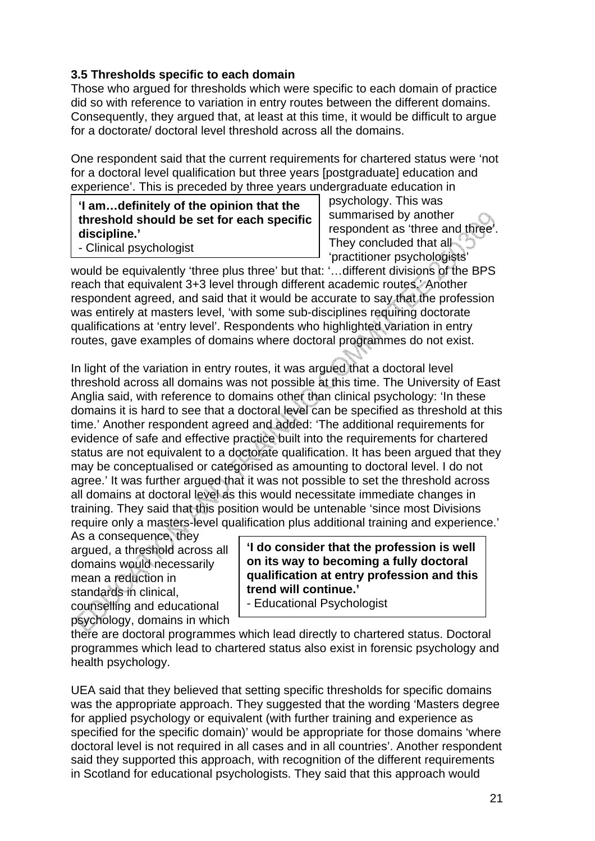# **3.5 Thresholds specific to each domain**

Those who argued for thresholds which were specific to each domain of practice did so with reference to variation in entry routes between the different domains. Consequently, they argued that, at least at this time, it would be difficult to argue for a doctorate/ doctoral level threshold across all the domains.

One respondent said that the current requirements for chartered status were 'not for a doctoral level qualification but three years [postgraduate] education and experience'. This is preceded by three years undergraduate education in

**'I am…definitely of the opinion that the threshold should be set for each specific discipline.'**  - Clinical psychologist

psychology. This was summarised by another respondent as 'three and three'. They concluded that all 'practitioner psychologists'

would be equivalently 'three plus three' but that: '…different divisions of the BPS reach that equivalent 3+3 level through different academic routes.' Another respondent agreed, and said that it would be accurate to say that the profession was entirely at masters level, 'with some sub-disciplines requiring doctorate qualifications at 'entry level'. Respondents who highlighted variation in entry routes, gave examples of domains where doctoral programmes do not exist.

In light of the variation in entry routes, it was argued that a doctoral level threshold across all domains was not possible at this time. The University of East Anglia said, with reference to domains other than clinical psychology: 'In these domains it is hard to see that a doctoral level can be specified as threshold at this time.' Another respondent agreed and added: 'The additional requirements for evidence of safe and effective practice built into the requirements for chartered status are not equivalent to a doctorate qualification. It has been argued that they may be conceptualised or categorised as amounting to doctoral level. I do not agree.' It was further argued that it was not possible to set the threshold across all domains at doctoral level as this would necessitate immediate changes in training. They said that this position would be untenable 'since most Divisions require only a masters-level qualification plus additional training and experience.'

As a consequence, they argued, a threshold across all domains would necessarily mean a reduction in standards in clinical, counselling and educational psychology, domains in which

**'I do consider that the profession is well on its way to becoming a fully doctoral qualification at entry profession and this trend will continue.'** 

- Educational Psychologist

there are doctoral programmes which lead directly to chartered status. Doctoral programmes which lead to chartered status also exist in forensic psychology and health psychology.

UEA said that they believed that setting specific thresholds for specific domains was the appropriate approach. They suggested that the wording 'Masters degree for applied psychology or equivalent (with further training and experience as specified for the specific domain)' would be appropriate for those domains 'where doctoral level is not required in all cases and in all countries'. Another respondent said they supported this approach, with recognition of the different requirements in Scotland for educational psychologists. They said that this approach would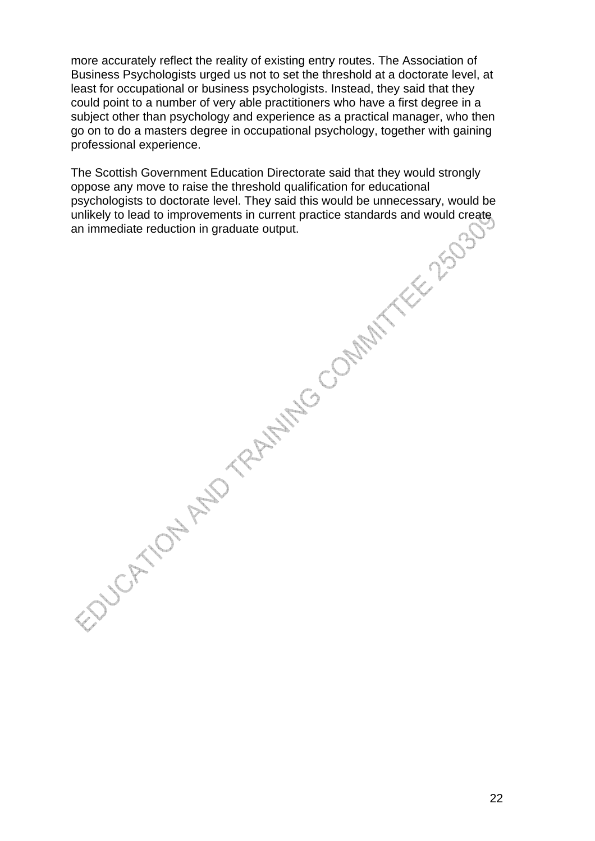more accurately reflect the reality of existing entry routes. The Association of Business Psychologists urged us not to set the threshold at a doctorate level, at least for occupational or business psychologists. Instead, they said that they could point to a number of very able practitioners who have a first degree in a subject other than psychology and experience as a practical manager, who then go on to do a masters degree in occupational psychology, together with gaining professional experience.

The Scottish Government Education Directorate said that they would strongly oppose any move to raise the threshold qualification for educational psychologists to doctorate level. They said this would be unnecessary, would be unlikely to lead to improvements in current practice standards and would create an immediate reduction in graduate output.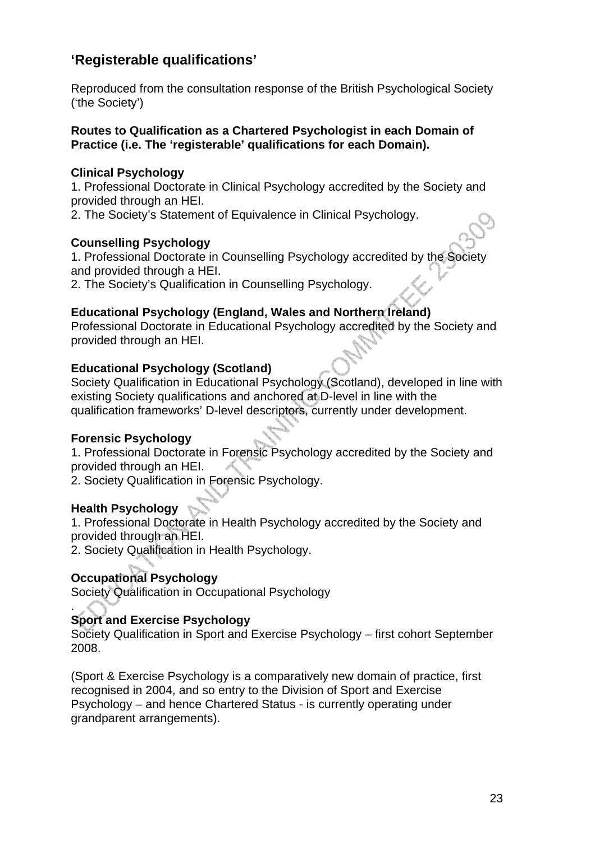# **'Registerable qualifications'**

Reproduced from the consultation response of the British Psychological Society ('the Society')

#### **Routes to Qualification as a Chartered Psychologist in each Domain of Practice (i.e. The 'registerable' qualifications for each Domain).**

# **Clinical Psychology**

1. Professional Doctorate in Clinical Psychology accredited by the Society and provided through an HEI.

2. The Society's Statement of Equivalence in Clinical Psychology.

#### **Counselling Psychology**

1. Professional Doctorate in Counselling Psychology accredited by the Society and provided through a HEI.

2. The Society's Qualification in Counselling Psychology.

# **Educational Psychology (England, Wales and Northern Ireland)**

Professional Doctorate in Educational Psychology accredited by the Society and provided through an HEI.

#### **Educational Psychology (Scotland)**

Society Qualification in Educational Psychology (Scotland), developed in line with existing Society qualifications and anchored at D-level in line with the qualification frameworks' D-level descriptors, currently under development.

#### **Forensic Psychology**

1. Professional Doctorate in Forensic Psychology accredited by the Society and provided through an HEI.

2. Society Qualification in Forensic Psychology.

# **Health Psychology**

1. Professional Doctorate in Health Psychology accredited by the Society and provided through an HEI.

2. Society Qualification in Health Psychology.

# **Occupational Psychology**

.

Society Qualification in Occupational Psychology

# **Sport and Exercise Psychology**

Society Qualification in Sport and Exercise Psychology – first cohort September 2008.

(Sport & Exercise Psychology is a comparatively new domain of practice, first recognised in 2004, and so entry to the Division of Sport and Exercise Psychology – and hence Chartered Status - is currently operating under grandparent arrangements).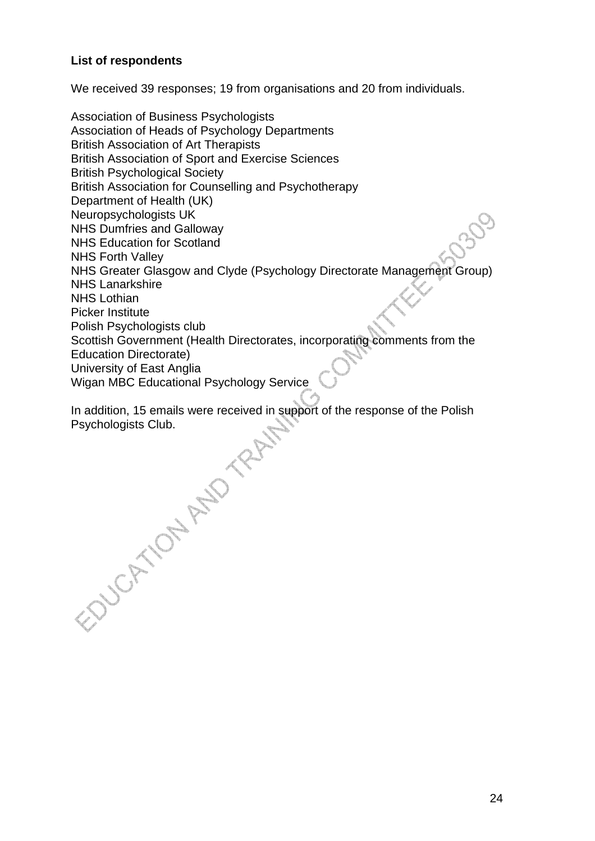#### **List of respondents**

We received 39 responses; 19 from organisations and 20 from individuals.

Association of Business Psychologists Association of Heads of Psychology Departments British Association of Art Therapists British Association of Sport and Exercise Sciences British Psychological Society British Association for Counselling and Psychotherapy Department of Health (UK) Neuropsychologists UK NHS Dumfries and Galloway NHS Education for Scotland NHS Forth Valley NHS Greater Glasgow and Clyde (Psychology Directorate Management Group) NHS Lanarkshire NHS Lothian Picker Institute Polish Psychologists club Scottish Government (Health Directorates, incorporating comments from the Education Directorate) University of East Anglia Wigan MBC Educational Psychology Service

In addition, 15 emails were received in support of the response of the Polish

Psychologists Club.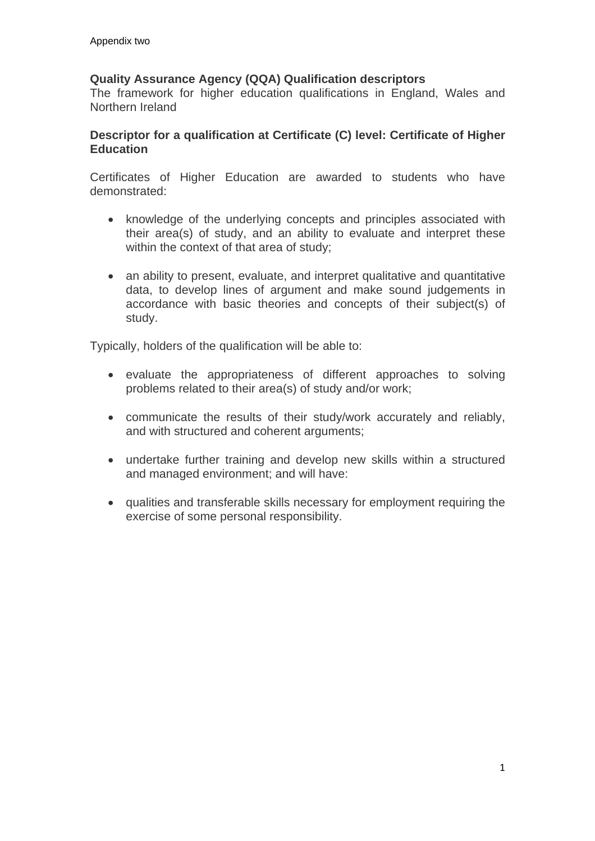#### **Quality Assurance Agency (QQA) Qualification descriptors**

The framework for higher education qualifications in England, Wales and Northern Ireland

#### **Descriptor for a qualification at Certificate (C) level: Certificate of Higher Education**

Certificates of Higher Education are awarded to students who have demonstrated:

- knowledge of the underlying concepts and principles associated with their area(s) of study, and an ability to evaluate and interpret these within the context of that area of study;
- an ability to present, evaluate, and interpret qualitative and quantitative data, to develop lines of argument and make sound judgements in accordance with basic theories and concepts of their subject(s) of study.

- evaluate the appropriateness of different approaches to solving problems related to their area(s) of study and/or work;
- communicate the results of their study/work accurately and reliably, and with structured and coherent arguments;
- undertake further training and develop new skills within a structured and managed environment; and will have:
- qualities and transferable skills necessary for employment requiring the exercise of some personal responsibility.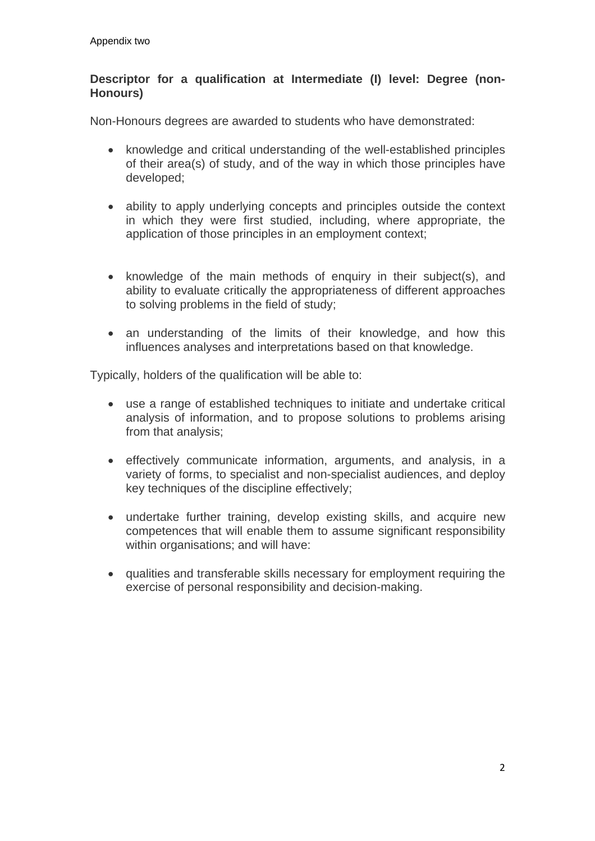# **Descriptor for a qualification at Intermediate (I) level: Degree (non-Honours)**

Non-Honours degrees are awarded to students who have demonstrated:

- knowledge and critical understanding of the well-established principles of their area(s) of study, and of the way in which those principles have developed;
- ability to apply underlying concepts and principles outside the context in which they were first studied, including, where appropriate, the application of those principles in an employment context;
- knowledge of the main methods of enquiry in their subject(s), and ability to evaluate critically the appropriateness of different approaches to solving problems in the field of study;
- an understanding of the limits of their knowledge, and how this influences analyses and interpretations based on that knowledge.

- use a range of established techniques to initiate and undertake critical analysis of information, and to propose solutions to problems arising from that analysis;
- effectively communicate information, arguments, and analysis, in a variety of forms, to specialist and non-specialist audiences, and deploy key techniques of the discipline effectively;
- undertake further training, develop existing skills, and acquire new competences that will enable them to assume significant responsibility within organisations; and will have:
- qualities and transferable skills necessary for employment requiring the exercise of personal responsibility and decision-making.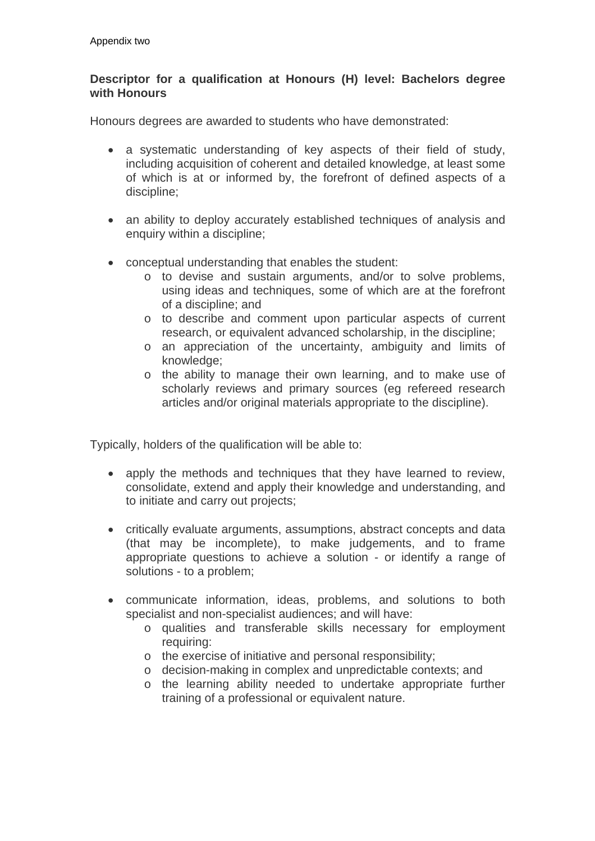#### **Descriptor for a qualification at Honours (H) level: Bachelors degree with Honours**

Honours degrees are awarded to students who have demonstrated:

- a systematic understanding of key aspects of their field of study, including acquisition of coherent and detailed knowledge, at least some of which is at or informed by, the forefront of defined aspects of a discipline;
- an ability to deploy accurately established techniques of analysis and enquiry within a discipline;
- conceptual understanding that enables the student:
	- o to devise and sustain arguments, and/or to solve problems, using ideas and techniques, some of which are at the forefront of a discipline; and
	- o to describe and comment upon particular aspects of current research, or equivalent advanced scholarship, in the discipline;
	- o an appreciation of the uncertainty, ambiguity and limits of knowledge;
	- o the ability to manage their own learning, and to make use of scholarly reviews and primary sources (eg refereed research articles and/or original materials appropriate to the discipline).

- apply the methods and techniques that they have learned to review, consolidate, extend and apply their knowledge and understanding, and to initiate and carry out projects;
- critically evaluate arguments, assumptions, abstract concepts and data (that may be incomplete), to make judgements, and to frame appropriate questions to achieve a solution - or identify a range of solutions - to a problem;
- communicate information, ideas, problems, and solutions to both specialist and non-specialist audiences; and will have:
	- o qualities and transferable skills necessary for employment requiring:
	- o the exercise of initiative and personal responsibility;
	- o decision-making in complex and unpredictable contexts; and
	- o the learning ability needed to undertake appropriate further training of a professional or equivalent nature.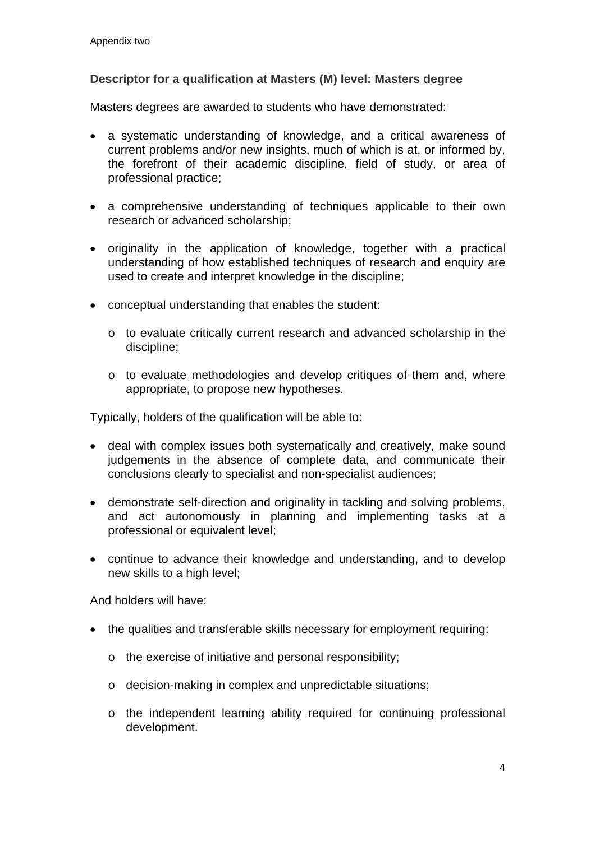# **Descriptor for a qualification at Masters (M) level: Masters degree**

Masters degrees are awarded to students who have demonstrated:

- a systematic understanding of knowledge, and a critical awareness of current problems and/or new insights, much of which is at, or informed by, the forefront of their academic discipline, field of study, or area of professional practice;
- a comprehensive understanding of techniques applicable to their own research or advanced scholarship;
- originality in the application of knowledge, together with a practical understanding of how established techniques of research and enquiry are used to create and interpret knowledge in the discipline;
- conceptual understanding that enables the student:
	- o to evaluate critically current research and advanced scholarship in the discipline;
	- o to evaluate methodologies and develop critiques of them and, where appropriate, to propose new hypotheses.

Typically, holders of the qualification will be able to:

- deal with complex issues both systematically and creatively, make sound judgements in the absence of complete data, and communicate their conclusions clearly to specialist and non-specialist audiences;
- demonstrate self-direction and originality in tackling and solving problems, and act autonomously in planning and implementing tasks at a professional or equivalent level;
- continue to advance their knowledge and understanding, and to develop new skills to a high level;

And holders will have:

- the qualities and transferable skills necessary for employment requiring:
	- o the exercise of initiative and personal responsibility;
	- o decision-making in complex and unpredictable situations;
	- o the independent learning ability required for continuing professional development.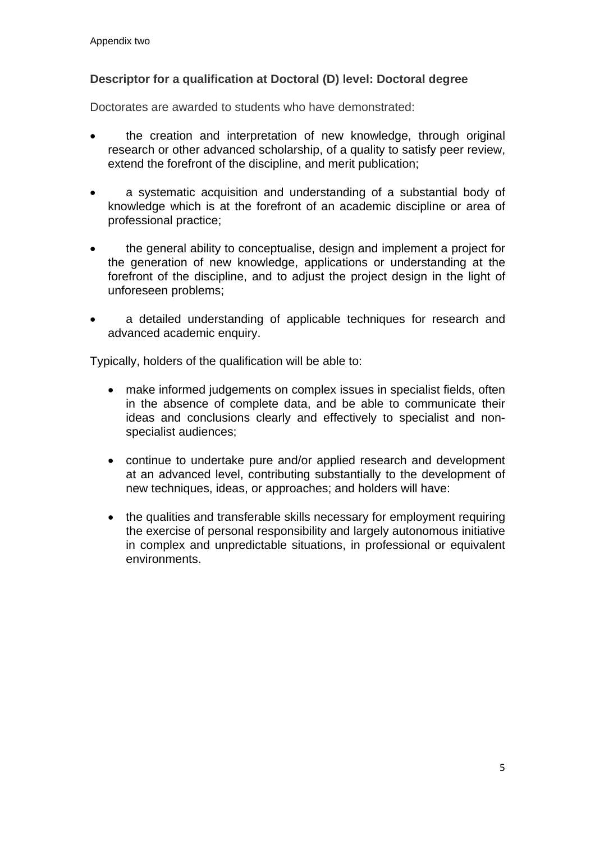# **Descriptor for a qualification at Doctoral (D) level: Doctoral degree**

Doctorates are awarded to students who have demonstrated:

- the creation and interpretation of new knowledge, through original research or other advanced scholarship, of a quality to satisfy peer review, extend the forefront of the discipline, and merit publication;
- a systematic acquisition and understanding of a substantial body of knowledge which is at the forefront of an academic discipline or area of professional practice;
- the general ability to conceptualise, design and implement a project for the generation of new knowledge, applications or understanding at the forefront of the discipline, and to adjust the project design in the light of unforeseen problems;
- a detailed understanding of applicable techniques for research and advanced academic enquiry.

- make informed judgements on complex issues in specialist fields, often in the absence of complete data, and be able to communicate their ideas and conclusions clearly and effectively to specialist and nonspecialist audiences;
- continue to undertake pure and/or applied research and development at an advanced level, contributing substantially to the development of new techniques, ideas, or approaches; and holders will have:
- the qualities and transferable skills necessary for employment requiring the exercise of personal responsibility and largely autonomous initiative in complex and unpredictable situations, in professional or equivalent environments.